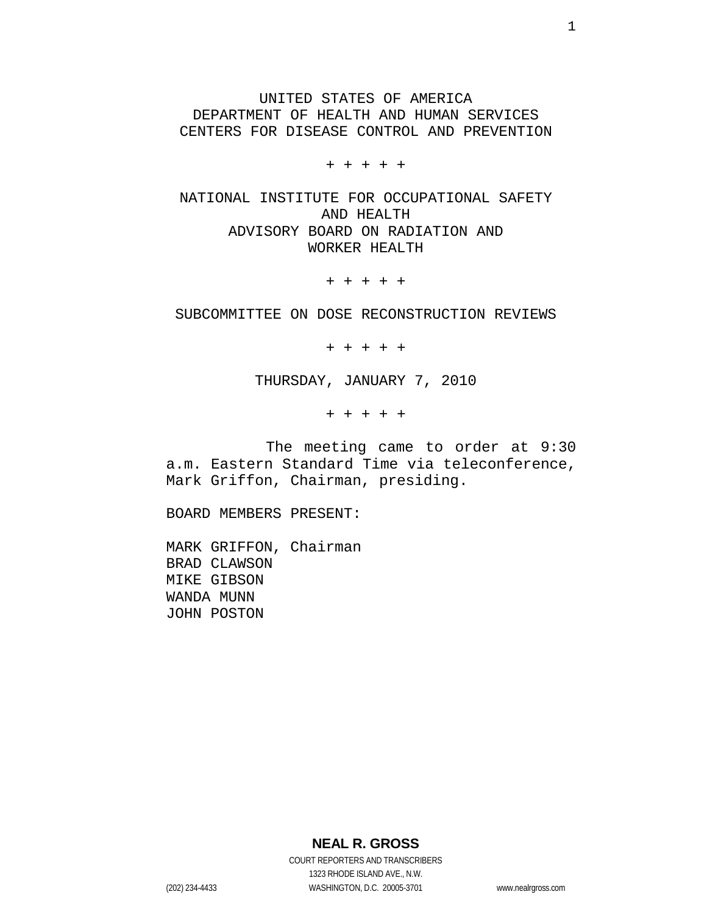UNITED STATES OF AMERICA DEPARTMENT OF HEALTH AND HUMAN SERVICES CENTERS FOR DISEASE CONTROL AND PREVENTION

+ + + + +

NATIONAL INSTITUTE FOR OCCUPATIONAL SAFETY AND HEALTH ADVISORY BOARD ON RADIATION AND WORKER HEALTH

+ + + + +

SUBCOMMITTEE ON DOSE RECONSTRUCTION REVIEWS

+ + + + +

THURSDAY, JANUARY 7, 2010

+ + + + +

 The meeting came to order at 9:30 a.m. Eastern Standard Time via teleconference, Mark Griffon, Chairman, presiding.

BOARD MEMBERS PRESENT:

MARK GRIFFON, Chairman BRAD CLAWSON MIKE GIBSON WANDA MUNN JOHN POSTON

**NEAL R. GROSS**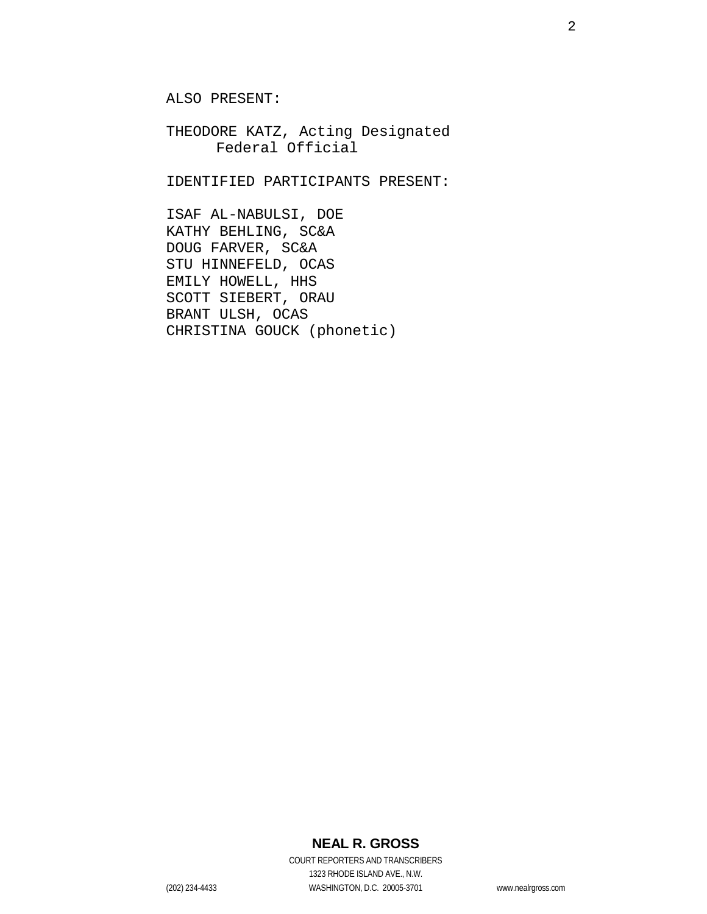ALSO PRESENT:

THEODORE KATZ, Acting Designated Federal Official

IDENTIFIED PARTICIPANTS PRESENT:

ISAF AL-NABULSI, DOE KATHY BEHLING, SC&A DOUG FARVER, SC&A STU HINNEFELD, OCAS EMILY HOWELL, HHS SCOTT SIEBERT, ORAU BRANT ULSH, OCAS CHRISTINA GOUCK (phonetic)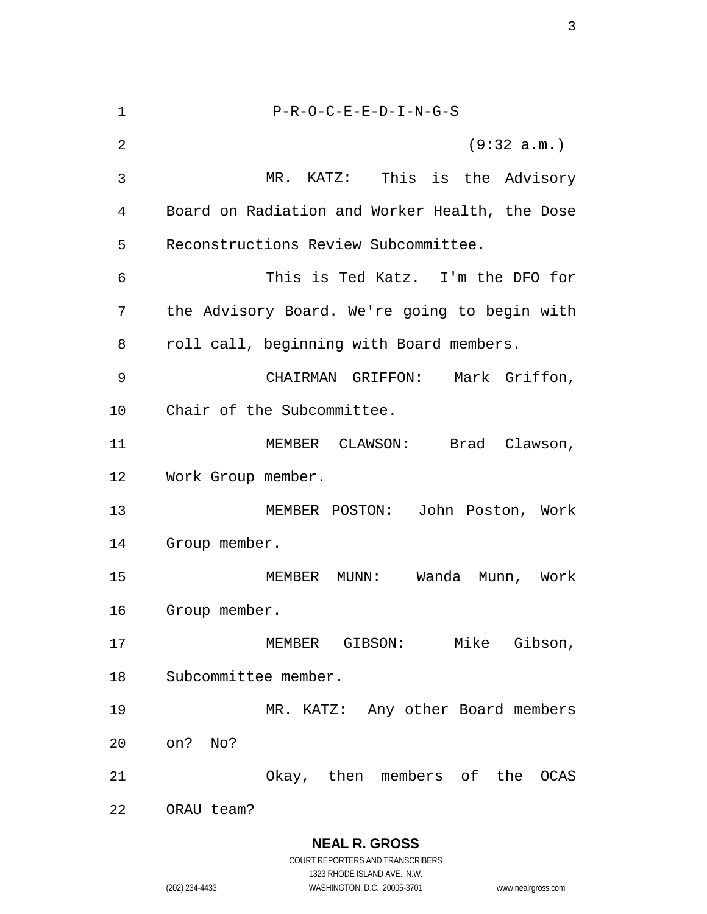| 1  | $P-R-O-C-E-E-D-I-N-G-S$                        |
|----|------------------------------------------------|
| 2  | (9:32 a.m.)                                    |
| 3  | MR. KATZ: This is the Advisory                 |
| 4  | Board on Radiation and Worker Health, the Dose |
| 5  | Reconstructions Review Subcommittee.           |
| 6  | This is Ted Katz. I'm the DFO for              |
| 7  | the Advisory Board. We're going to begin with  |
| 8  | roll call, beginning with Board members.       |
| 9  | CHAIRMAN GRIFFON:<br>Mark Griffon,             |
| 10 | Chair of the Subcommittee.                     |
| 11 | MEMBER CLAWSON: Brad Clawson,                  |
| 12 | Work Group member.                             |
| 13 | MEMBER POSTON: John Poston, Work               |
| 14 | Group member.                                  |
| 15 | Wanda<br>MEMBER MUNN:<br>Munn, Work            |
| 16 | Group member.                                  |
| 17 | Mike Gibson,<br>MEMBER GIBSON:                 |
| 18 | Subcommittee member.                           |
| 19 | MR. KATZ: Any other Board members              |
| 20 | on? No?                                        |
| 21 | Okay, then members of the<br>OCAS              |
| 22 | ORAU team?                                     |

**NEAL R. GROSS**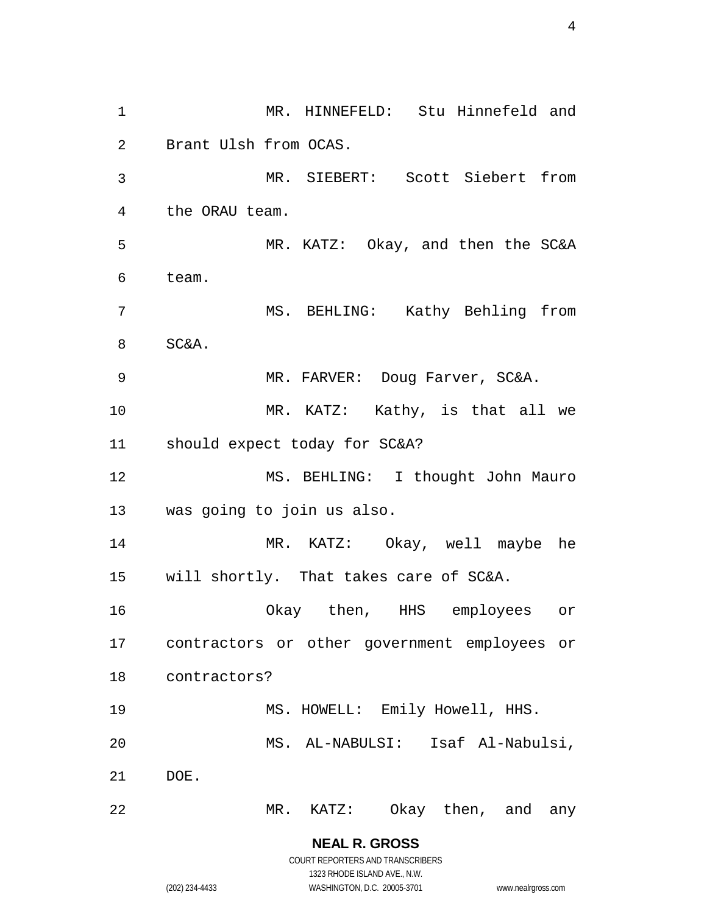1 MR. HINNEFELD: Stu Hinnefeld and 2 3 4 5 6 7 8 9 10 11 12 13 14 15 16 17 18 19 20 21 22 Brant Ulsh from OCAS. MR. SIEBERT: Scott Siebert from the ORAU team. MR. KATZ: Okay, and then the SC&A team. MS. BEHLING: Kathy Behling from SC&A. MR. FARVER: Doug Farver, SC&A. MR. KATZ: Kathy, is that all we should expect today for SC&A? MS. BEHLING: I thought John Mauro was going to join us also. MR. KATZ: Okay, well maybe he will shortly. That takes care of SC&A. Okay then, HHS employees or contractors or other government employees or contractors? MS. HOWELL: Emily Howell, HHS. MS. AL-NABULSI: Isaf Al-Nabulsi, DOE. MR. KATZ: Okay then, and any

> **NEAL R. GROSS** COURT REPORTERS AND TRANSCRIBERS

> > 1323 RHODE ISLAND AVE., N.W.

(202) 234-4433 WASHINGTON, D.C. 20005-3701 www.nealrgross.com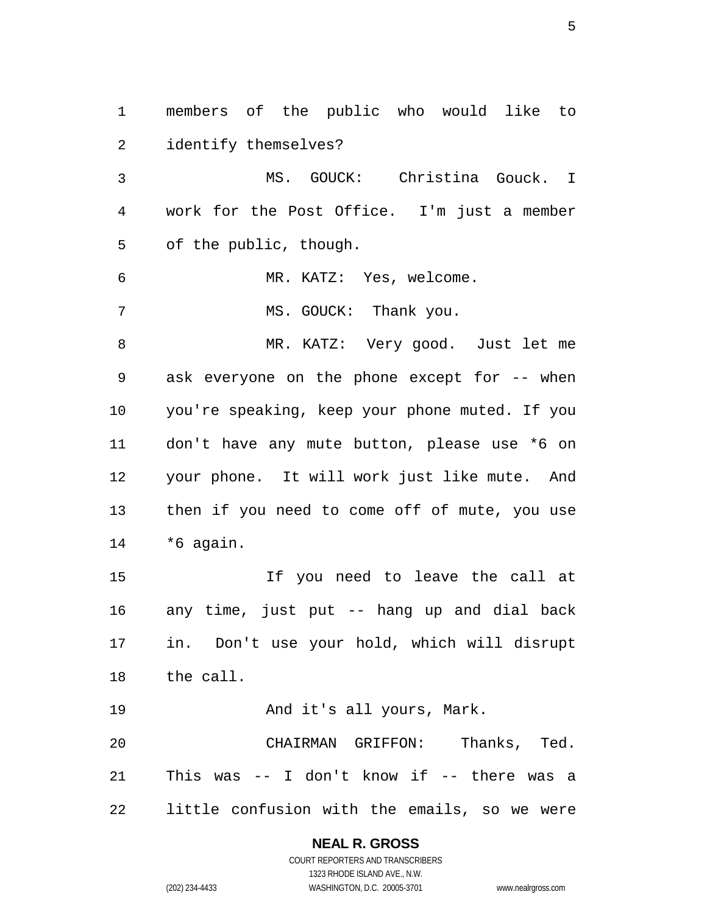1 members of the public who would like to 2 3 4 5 6 7 8 9 10 11 12 13 14 15 16 17 18 19 20 21 22 identify themselves? MS. GOUCK: Christina Gouck. I work for the Post Office. I'm just a member of the public, though. MR. KATZ: Yes, welcome. MS. GOUCK: Thank you. MR. KATZ: Very good. Just let me ask everyone on the phone except for -- when you're speaking, keep your phone muted. If you don't have any mute button, please use \*6 on your phone. It will work just like mute. And then if you need to come off of mute, you use \*6 again. If you need to leave the call at any time, just put -- hang up and dial back in. Don't use your hold, which will disrupt the call. And it's all yours, Mark. CHAIRMAN GRIFFON: Thanks, Ted. This was -- I don't know if -- there was a little confusion with the emails, so we were

#### **NEAL R. GROSS** COURT REPORTERS AND TRANSCRIBERS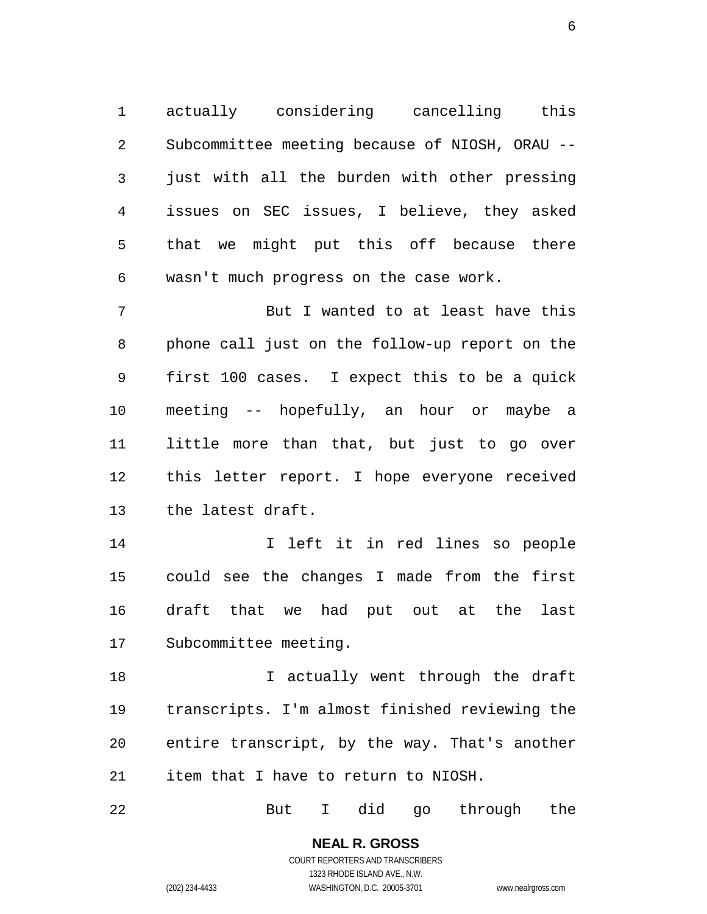1 actually considering cancelling this 2 3 4 5 6 Subcommittee meeting because of NIOSH, ORAU - just with all the burden with other pressing issues on SEC issues, I believe, they asked that we might put this off because there wasn't much progress on the case work.

7 8 9 10 11 12 13 But I wanted to at least have this phone call just on the follow-up report on the first 100 cases. I expect this to be a quick meeting -- hopefully, an hour or maybe a little more than that, but just to go over this letter report. I hope everyone received the latest draft.

14 15 16 17 I left it in red lines so people could see the changes I made from the first draft that we had put out at the last Subcommittee meeting.

18 19 20 21 I actually went through the draft transcripts. I'm almost finished reviewing the entire transcript, by the way. That's another item that I have to return to NIOSH.

22 But I did go through the

> **NEAL R. GROSS** COURT REPORTERS AND TRANSCRIBERS

> > 1323 RHODE ISLAND AVE., N.W.

(202) 234-4433 WASHINGTON, D.C. 20005-3701 www.nealrgross.com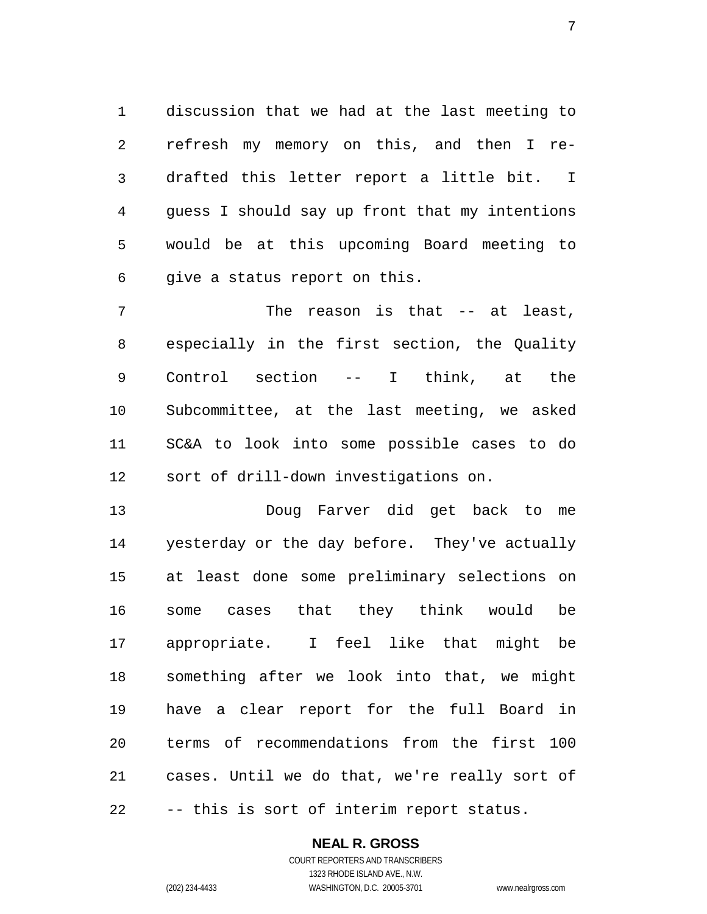1 discussion that we had at the last meeting to 2 3 4 5 6 refresh my memory on this, and then I redrafted this letter report a little bit. I guess I should say up front that my intentions would be at this upcoming Board meeting to give a status report on this.

7 8 9 10 11 12 The reason is that -- at least, especially in the first section, the Quality Control section -- I think, at the Subcommittee, at the last meeting, we asked SC&A to look into some possible cases to do sort of drill-down investigations on.

13 14 15 16 17 18 19 20 21 22 Doug Farver did get back to me yesterday or the day before. They've actually at least done some preliminary selections on some cases that they think would be appropriate. I feel like that might be something after we look into that, we might have a clear report for the full Board in terms of recommendations from the first 100 cases. Until we do that, we're really sort of -- this is sort of interim report status.

#### **NEAL R. GROSS**

COURT REPORTERS AND TRANSCRIBERS 1323 RHODE ISLAND AVE., N.W. (202) 234-4433 WASHINGTON, D.C. 20005-3701 www.nealrgross.com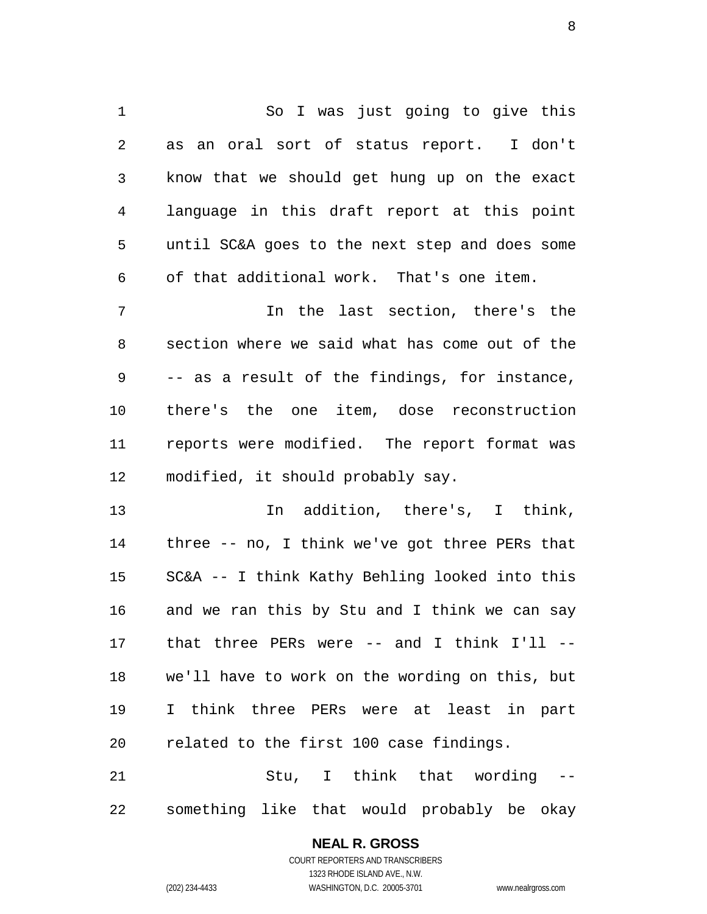1 So I was just going to give this 2 3 4 5 6 as an oral sort of status report. I don't know that we should get hung up on the exact language in this draft report at this point until SC&A goes to the next step and does some of that additional work. That's one item.

7 8 9 10 11 12 In the last section, there's the section where we said what has come out of the -- as a result of the findings, for instance, there's the one item, dose reconstruction reports were modified. The report format was modified, it should probably say.

13 14 15 16 17 18 19 20 In addition, there's, I think, three -- no, I think we've got three PERs that SC&A -- I think Kathy Behling looked into this and we ran this by Stu and I think we can say that three PERs were -- and I think I'll - we'll have to work on the wording on this, but I think three PERs were at least in part related to the first 100 case findings.

21 22 Stu, I think that wording - something like that would probably be okay

#### **NEAL R. GROSS**

COURT REPORTERS AND TRANSCRIBERS 1323 RHODE ISLAND AVE., N.W. (202) 234-4433 WASHINGTON, D.C. 20005-3701 www.nealrgross.com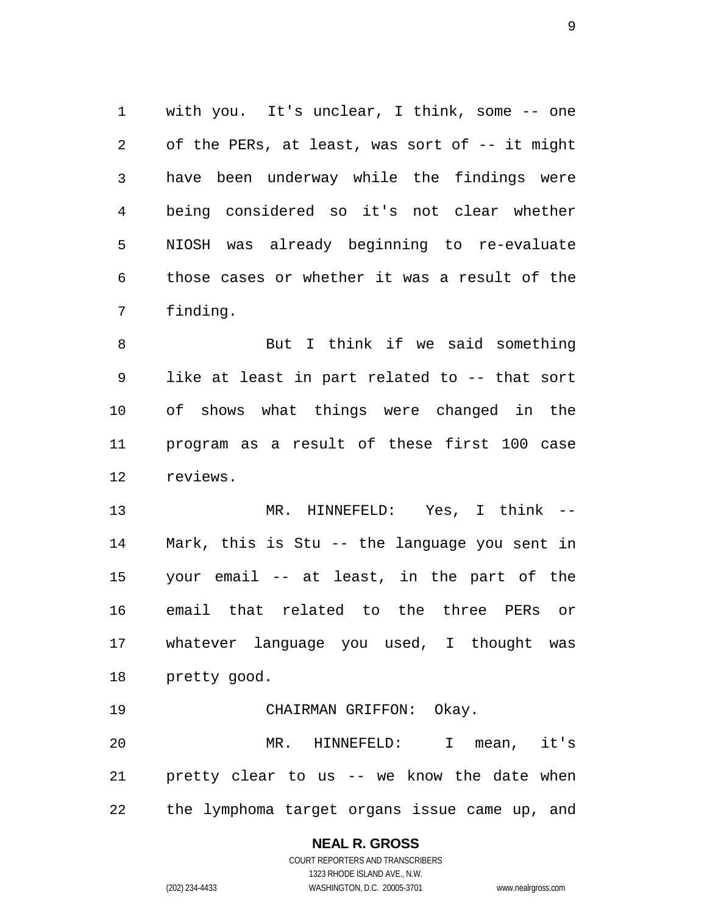1 with you. It's unclear, I think, some -- one 2 3 4 5 6 7 of the PERs, at least, was sort of -- it might have been underway while the findings were being considered so it's not clear whether NIOSH was already beginning to re-evaluate those cases or whether it was a result of the finding.

8 9 10 11 12 But I think if we said something like at least in part related to -- that sort of shows what things were changed in the program as a result of these first 100 case reviews.

13 14 15 16 17 18 MR. HINNEFELD: Yes, I think -- Mark, this is Stu -- the language you sent in your email -- at least, in the part of the email that related to the three PERs or whatever language you used, I thought was pretty good.

19 CHAIRMAN GRIFFON: Okay.

20 21 22 MR. HINNEFELD: I mean, it's pretty clear to us -- we know the date when the lymphoma target organs issue came up, and

# **NEAL R. GROSS**

COURT REPORTERS AND TRANSCRIBERS 1323 RHODE ISLAND AVE., N.W. (202) 234-4433 WASHINGTON, D.C. 20005-3701 www.nealrgross.com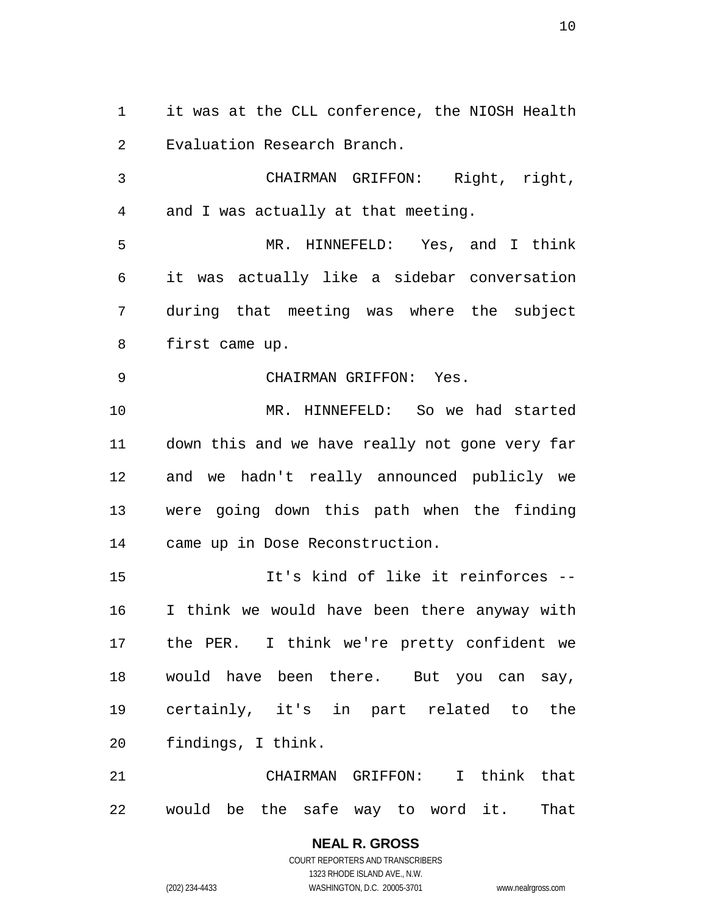1 it was at the CLL conference, the NIOSH Health 2 Evaluation Research Branch.

3 4 CHAIRMAN GRIFFON: Right, right, and I was actually at that meeting.

5 6 7 8 MR. HINNEFELD: Yes, and I think it was actually like a sidebar conversation during that meeting was where the subject first came up.

9 CHAIRMAN GRIFFON: Yes.

10 11 12 13 14 MR. HINNEFELD: So we had started down this and we have really not gone very far and we hadn't really announced publicly we were going down this path when the finding came up in Dose Reconstruction.

15 16 17 18 19 20 It's kind of like it reinforces -- I think we would have been there anyway with the PER. I think we're pretty confident we would have been there. But you can say, certainly, it's in part related to the findings, I think.

21 22 CHAIRMAN GRIFFON: I think that would be the safe way to word it. That

### **NEAL R. GROSS**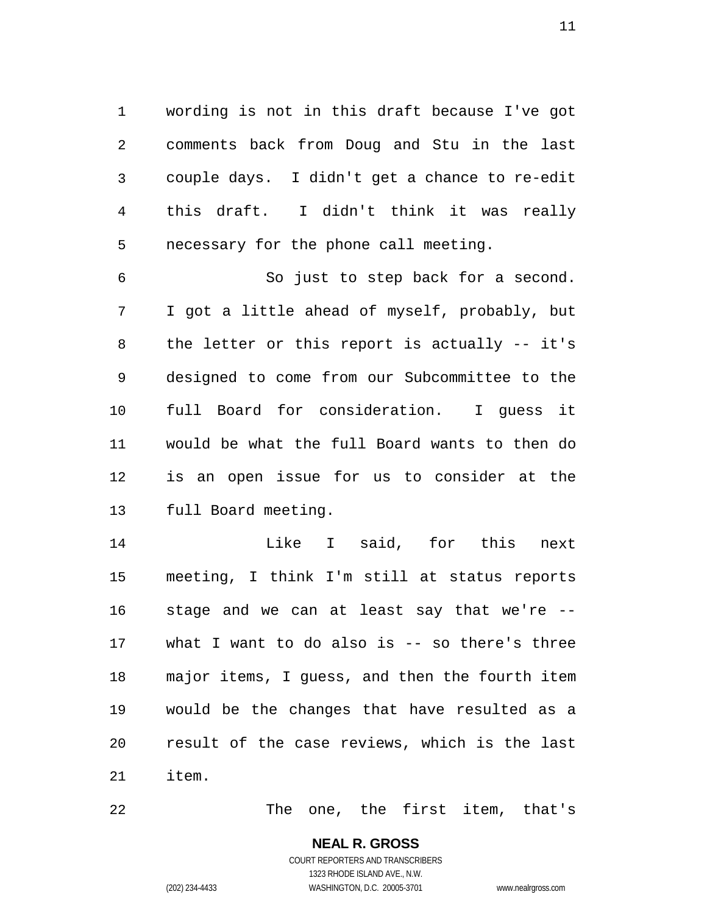1 wording is not in this draft because I've got 2 3 4 5 comments back from Doug and Stu in the last couple days. I didn't get a chance to re-edit this draft. I didn't think it was really necessary for the phone call meeting.

6 7 8 9 10 11 12 13 So just to step back for a second. I got a little ahead of myself, probably, but the letter or this report is actually -- it's designed to come from our Subcommittee to the full Board for consideration. I guess it would be what the full Board wants to then do is an open issue for us to consider at the full Board meeting.

14 15 16 17 18 19 20 21 Like I said, for this next meeting, I think I'm still at status reports stage and we can at least say that we're - what I want to do also is  $-$  so there's three major items, I guess, and then the fourth item would be the changes that have resulted as a result of the case reviews, which is the last item.

22 The one, the first item, that's

### **NEAL R. GROSS** COURT REPORTERS AND TRANSCRIBERS

1323 RHODE ISLAND AVE., N.W. (202) 234-4433 WASHINGTON, D.C. 20005-3701 www.nealrgross.com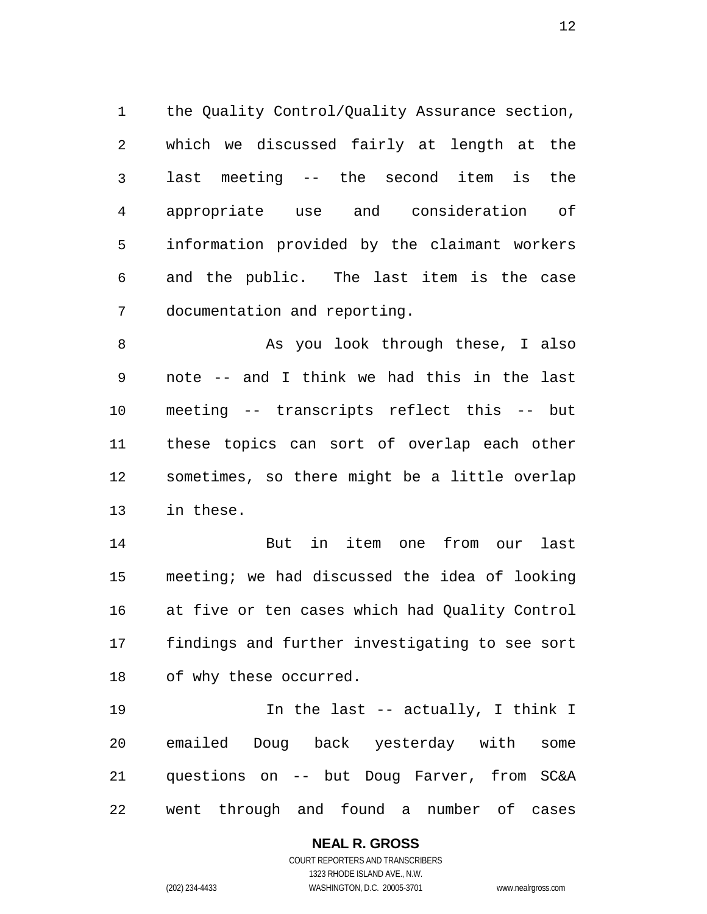1 the Quality Control/Quality Assurance section, 2 3 4 5 6 7 which we discussed fairly at length at the last meeting -- the second item is the appropriate use and consideration of information provided by the claimant workers and the public. The last item is the case documentation and reporting.

8 9 10 11 12 13 As you look through these, I also note -- and I think we had this in the last meeting -- transcripts reflect this -- but these topics can sort of overlap each other sometimes, so there might be a little overlap in these.

14 15 16 17 18 But in item one from our last meeting; we had discussed the idea of looking at five or ten cases which had Quality Control findings and further investigating to see sort of why these occurred.

19 20 21 22 In the last -- actually, I think I emailed Doug back yesterday with some questions on -- but Doug Farver, from SC&A went through and found a number of cases

#### **NEAL R. GROSS** COURT REPORTERS AND TRANSCRIBERS 1323 RHODE ISLAND AVE., N.W.

(202) 234-4433 WASHINGTON, D.C. 20005-3701 www.nealrgross.com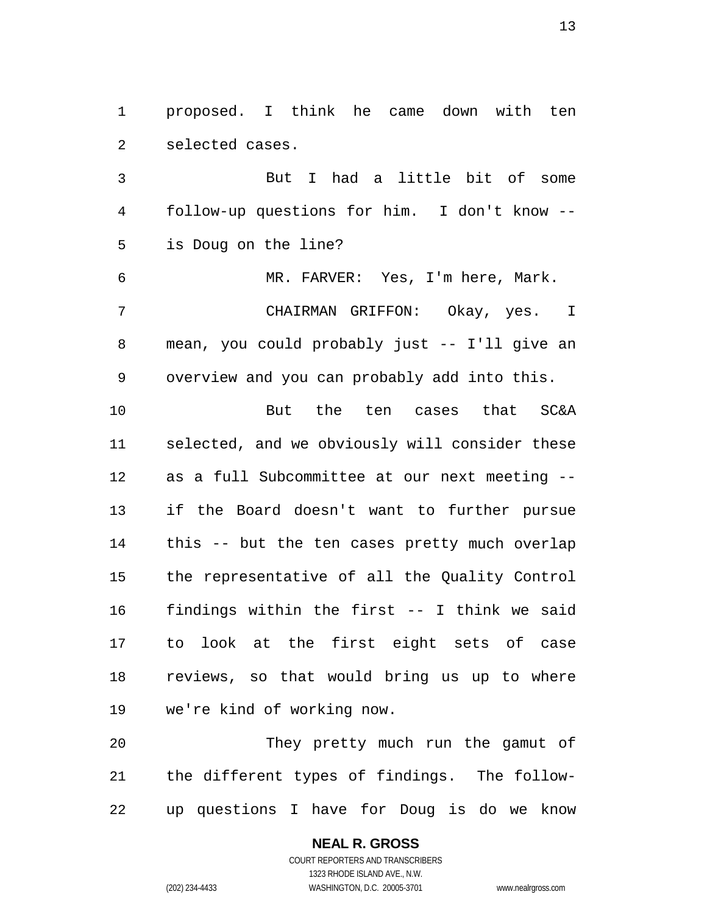1 proposed. I think he came down with ten 2 selected cases.

3 4 5 But I had a little bit of some follow-up questions for him. I don't know - is Doug on the line?

6 7 8 9 MR. FARVER: Yes, I'm here, Mark. CHAIRMAN GRIFFON: Okay, yes. I mean, you could probably just -- I'll give an overview and you can probably add into this.

10 11 12 13 14 15 16 17 18 19 But the ten cases that SC&A selected, and we obviously will consider these as a full Subcommittee at our next meeting - if the Board doesn't want to further pursue this -- but the ten cases pretty much overlap the representative of all the Quality Control findings within the first -- I think we said to look at the first eight sets of case reviews, so that would bring us up to where we're kind of working now.

20 21 22 They pretty much run the gamut of the different types of findings. The followup questions I have for Doug is do we know

#### **NEAL R. GROSS** COURT REPORTERS AND TRANSCRIBERS

1323 RHODE ISLAND AVE., N.W. (202) 234-4433 WASHINGTON, D.C. 20005-3701 www.nealrgross.com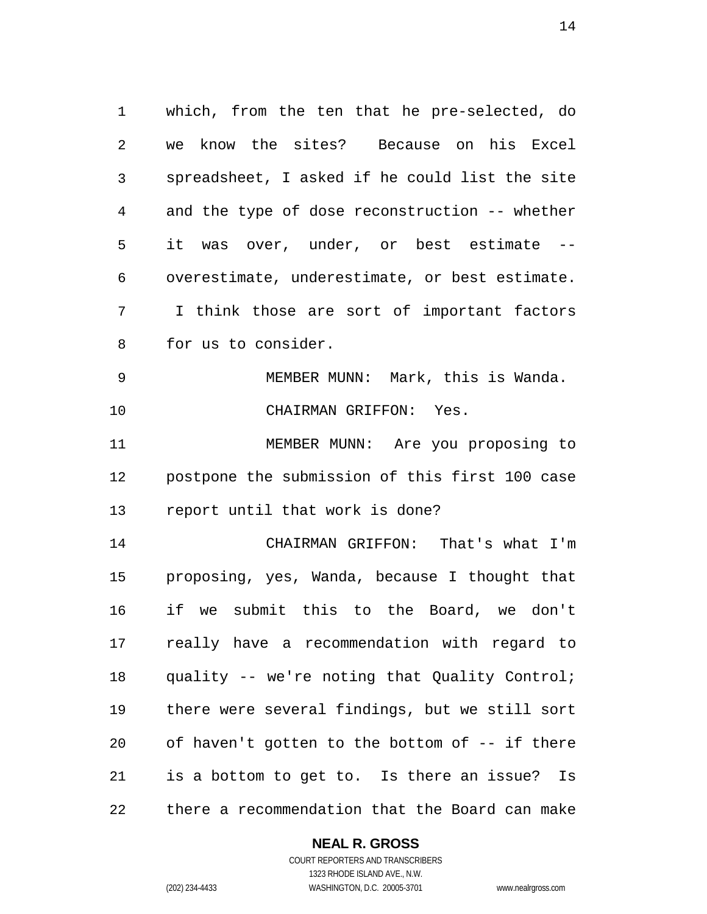1 which, from the ten that he pre-selected, do 2 3 4 5 6 7 8 we know the sites? Because on his Excel spreadsheet, I asked if he could list the site and the type of dose reconstruction -- whether it was over, under, or best estimate - overestimate, underestimate, or best estimate. I think those are sort of important factors for us to consider.

9 10 MEMBER MUNN: Mark, this is Wanda. CHAIRMAN GRIFFON: Yes.

11 12 13 MEMBER MUNN: Are you proposing to postpone the submission of this first 100 case report until that work is done?

14 15 16 17 18 19 20 21 22 CHAIRMAN GRIFFON: That's what I'm proposing, yes, Wanda, because I thought that if we submit this to the Board, we don't really have a recommendation with regard to quality -- we're noting that Quality Control; there were several findings, but we still sort of haven't gotten to the bottom of -- if there is a bottom to get to. Is there an issue? Is there a recommendation that the Board can make

#### **NEAL R. GROSS**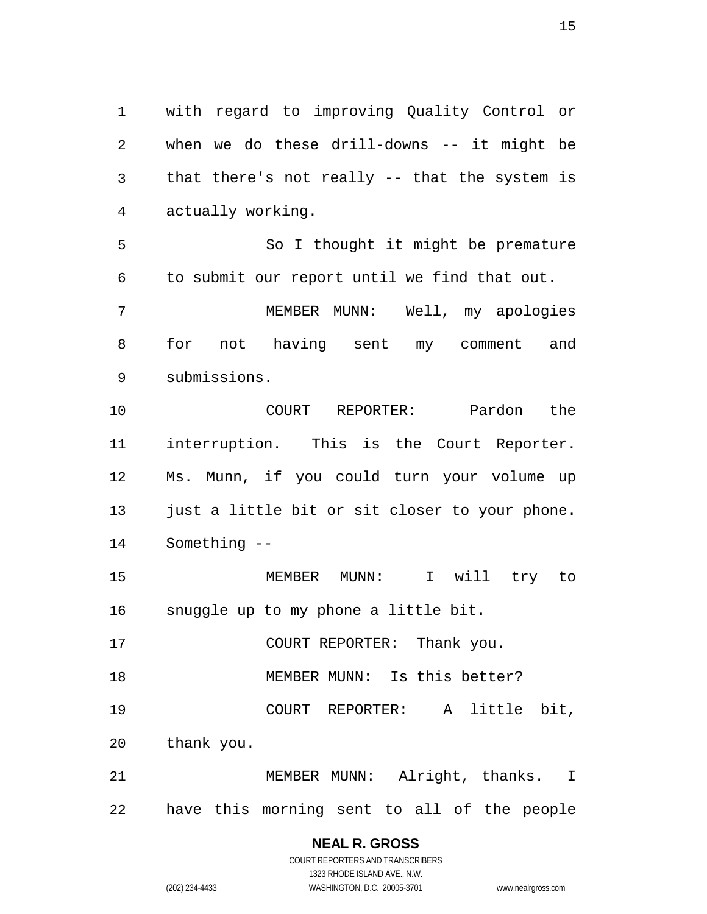1 with regard to improving Quality Control or 2 3 4 when we do these drill-downs -- it might be that there's not really -- that the system is actually working.

5 6 So I thought it might be premature to submit our report until we find that out.

7 8 9 MEMBER MUNN: Well, my apologies for not having sent my comment and submissions.

10 11 12 13 14 COURT REPORTER: Pardon the interruption. This is the Court Reporter. Ms. Munn, if you could turn your volume up just a little bit or sit closer to your phone. Something --

15 16 MEMBER MUNN: I will try to snuggle up to my phone a little bit.

17 COURT REPORTER: Thank you.

18 MEMBER MUNN: Is this better?

19 COURT REPORTER: A little bit,

20 thank you.

21 22 MEMBER MUNN: Alright, thanks. I have this morning sent to all of the people

### **NEAL R. GROSS**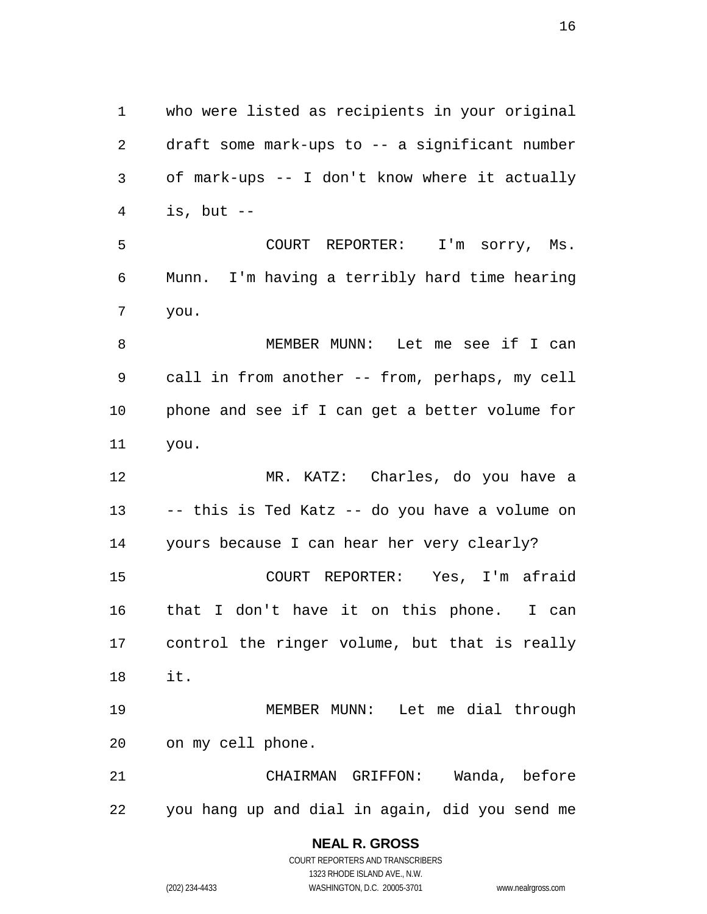1 who were listed as recipients in your original 2 3 4 draft some mark-ups to -- a significant number of mark-ups -- I don't know where it actually is, but  $--$ 

5 6 7 COURT REPORTER: I'm sorry, Ms. Munn. I'm having a terribly hard time hearing you.

8 9 10 11 MEMBER MUNN: Let me see if I can call in from another -- from, perhaps, my cell phone and see if I can get a better volume for you.

12 13 14 MR. KATZ: Charles, do you have a -- this is Ted Katz -- do you have a volume on yours because I can hear her very clearly?

15 16 17 18 COURT REPORTER: Yes, I'm afraid that I don't have it on this phone. I can control the ringer volume, but that is really it.

19 20 MEMBER MUNN: Let me dial through on my cell phone.

21 22 CHAIRMAN GRIFFON: Wanda, before you hang up and dial in again, did you send me

### **NEAL R. GROSS**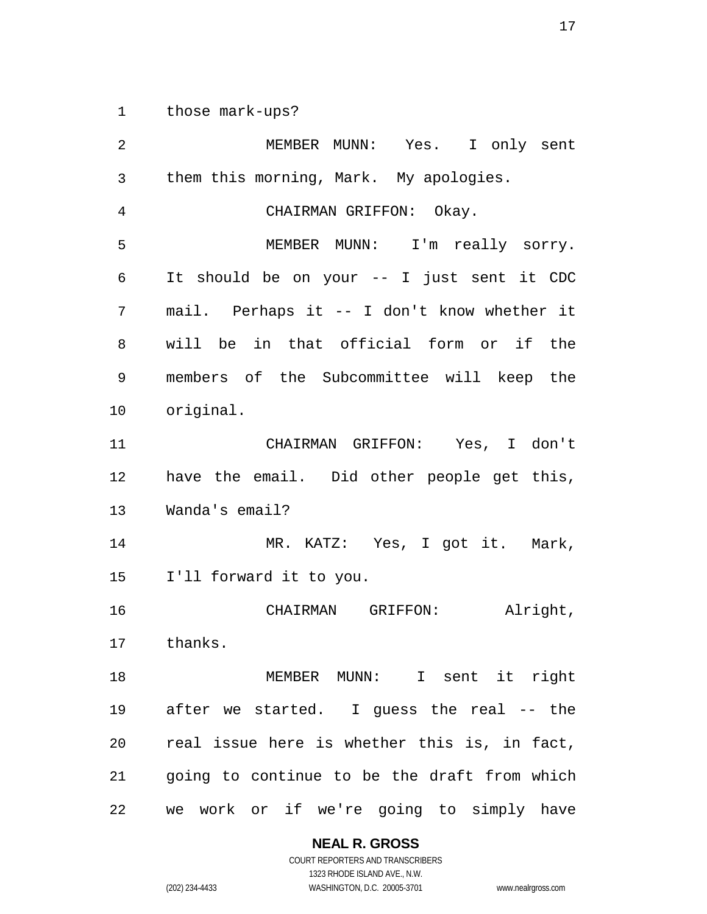1 those mark-ups?

2 3 4 5 6 7 8 9 10 11 12 13 14 15 16 17 18 19 20 21 22 MEMBER MUNN: Yes. I only sent them this morning, Mark. My apologies. CHAIRMAN GRIFFON: Okay. MEMBER MUNN: I'm really sorry. It should be on your -- I just sent it CDC mail. Perhaps it -- I don't know whether it will be in that official form or if the members of the Subcommittee will keep the original. CHAIRMAN GRIFFON: Yes, I don't have the email. Did other people get this, Wanda's email? MR. KATZ: Yes, I got it. Mark, I'll forward it to you. CHAIRMAN GRIFFON: Alright, thanks. MEMBER MUNN: I sent it right after we started. I guess the real -- the real issue here is whether this is, in fact, going to continue to be the draft from which we work or if we're going to simply have

**NEAL R. GROSS**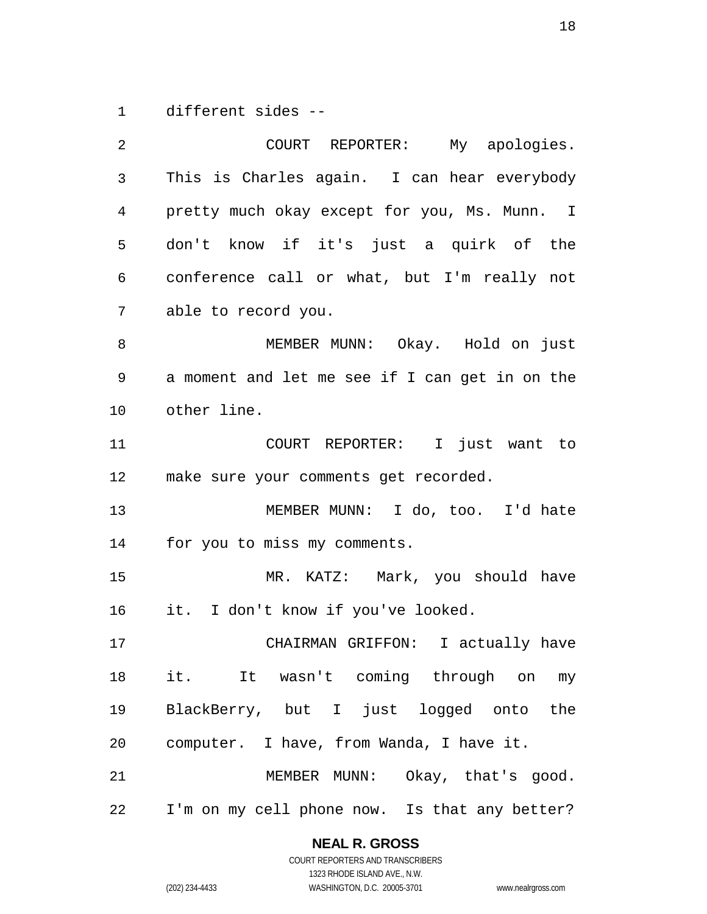1 different sides --

2 3 4 5 6 7 8 9 10 11 12 13 14 15 16 17 18 19 20 21 22 COURT REPORTER: My apologies. This is Charles again. I can hear everybody pretty much okay except for you, Ms. Munn. I don't know if it's just a quirk of the conference call or what, but I'm really not able to record you. MEMBER MUNN: Okay. Hold on just a moment and let me see if I can get in on the other line. COURT REPORTER: I just want to make sure your comments get recorded. MEMBER MUNN: I do, too. I'd hate for you to miss my comments. MR. KATZ: Mark, you should have it. I don't know if you've looked. CHAIRMAN GRIFFON: I actually have it. It wasn't coming through on my BlackBerry, but I just logged onto the computer. I have, from Wanda, I have it. MEMBER MUNN: Okay, that's good. I'm on my cell phone now. Is that any better?

#### **NEAL R. GROSS**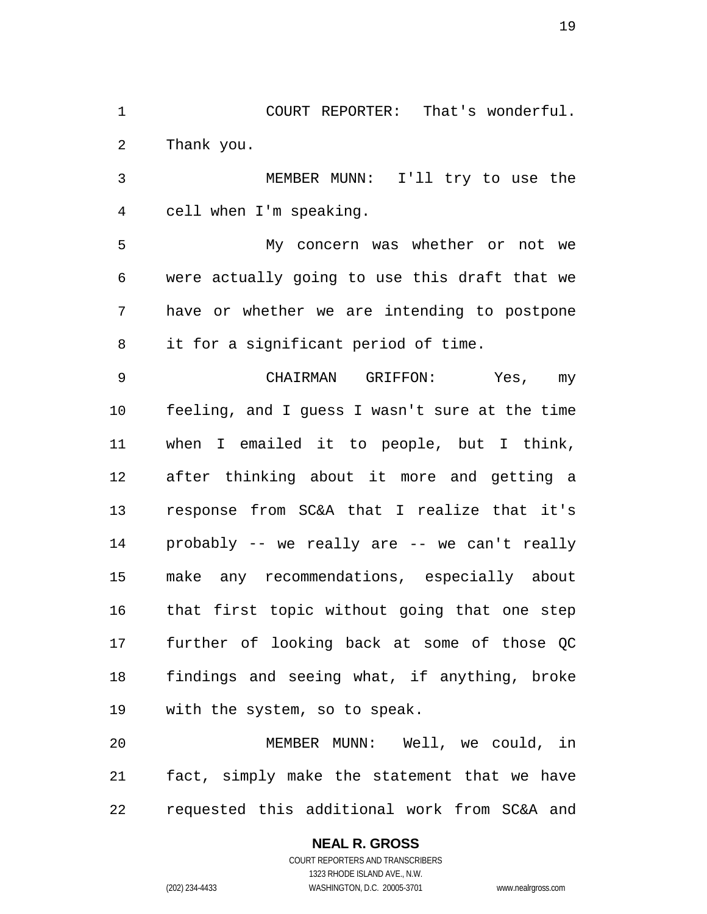1 COURT REPORTER: That's wonderful. 2 Thank you.

3 4 MEMBER MUNN: I'll try to use the cell when I'm speaking.

5 6 7 8 My concern was whether or not we were actually going to use this draft that we have or whether we are intending to postpone it for a significant period of time.

9 10 11 12 13 14 15 16 17 18 19 CHAIRMAN GRIFFON: Yes, my feeling, and I guess I wasn't sure at the time when I emailed it to people, but I think, after thinking about it more and getting a response from SC&A that I realize that it's probably -- we really are -- we can't really make any recommendations, especially about that first topic without going that one step further of looking back at some of those QC findings and seeing what, if anything, broke with the system, so to speak.

20 21 22 MEMBER MUNN: Well, we could, in fact, simply make the statement that we have requested this additional work from SC&A and

#### **NEAL R. GROSS**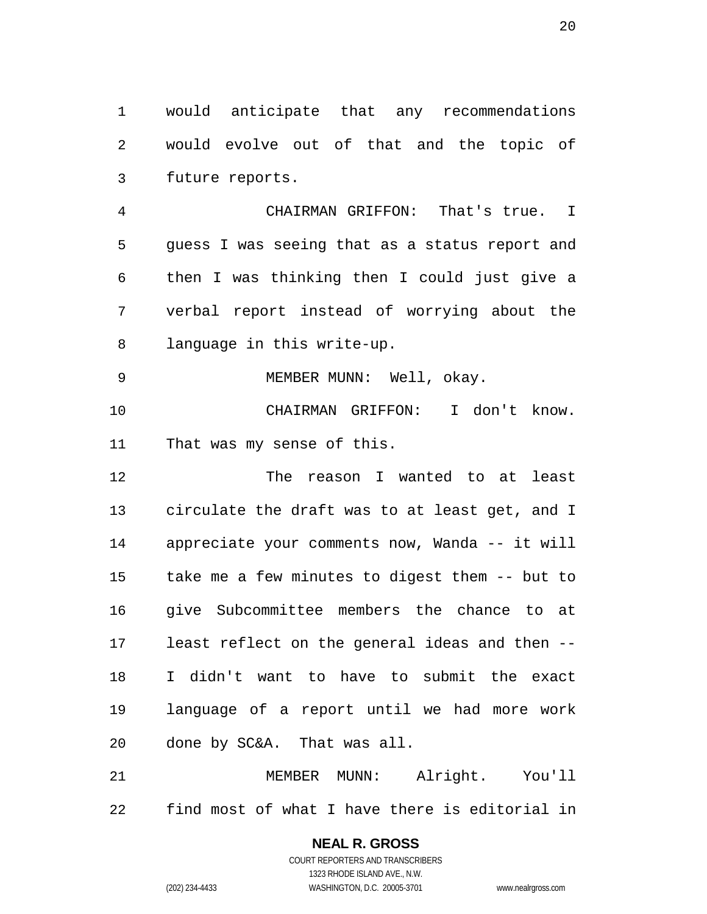1 would anticipate that any recommendations 2 3 would evolve out of that and the topic of future reports.

4 5 6 7 8 CHAIRMAN GRIFFON: That's true. I guess I was seeing that as a status report and then I was thinking then I could just give a verbal report instead of worrying about the language in this write-up.

10 11 MEMBER MUNN: Well, okay. CHAIRMAN GRIFFON: I don't know. That was my sense of this.

12 13 14 15 16 17 18 19 20 The reason I wanted to at least circulate the draft was to at least get, and I appreciate your comments now, Wanda -- it will take me a few minutes to digest them -- but to give Subcommittee members the chance to at least reflect on the general ideas and then -- I didn't want to have to submit the exact language of a report until we had more work done by SC&A. That was all.

21 22 MEMBER MUNN: Alright. You'll find most of what I have there is editorial in

> COURT REPORTERS AND TRANSCRIBERS 1323 RHODE ISLAND AVE., N.W. (202) 234-4433 WASHINGTON, D.C. 20005-3701 www.nealrgross.com

**NEAL R. GROSS**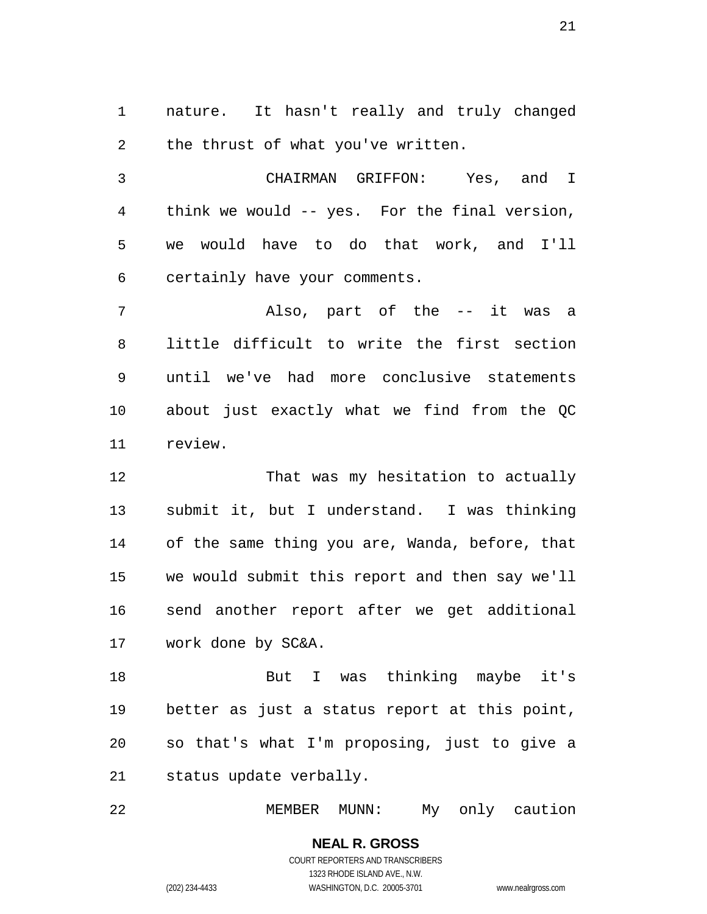1 nature. It hasn't really and truly changed 2 the thrust of what you've written.

3 4 5 6 CHAIRMAN GRIFFON: Yes, and I think we would -- yes. For the final version, we would have to do that work, and I'll certainly have your comments.

7 8 9 10 11 Also, part of the -- it was a little difficult to write the first section until we've had more conclusive statements about just exactly what we find from the QC review.

12 13 14 15 16 17 That was my hesitation to actually submit it, but I understand. I was thinking of the same thing you are, Wanda, before, that we would submit this report and then say we'll send another report after we get additional work done by SC&A.

18 19 20 21 But I was thinking maybe it's better as just a status report at this point, so that's what I'm proposing, just to give a status update verbally.

22 MEMBER MUNN: My only caution

> **NEAL R. GROSS** COURT REPORTERS AND TRANSCRIBERS 1323 RHODE ISLAND AVE., N.W. (202) 234-4433 WASHINGTON, D.C. 20005-3701 www.nealrgross.com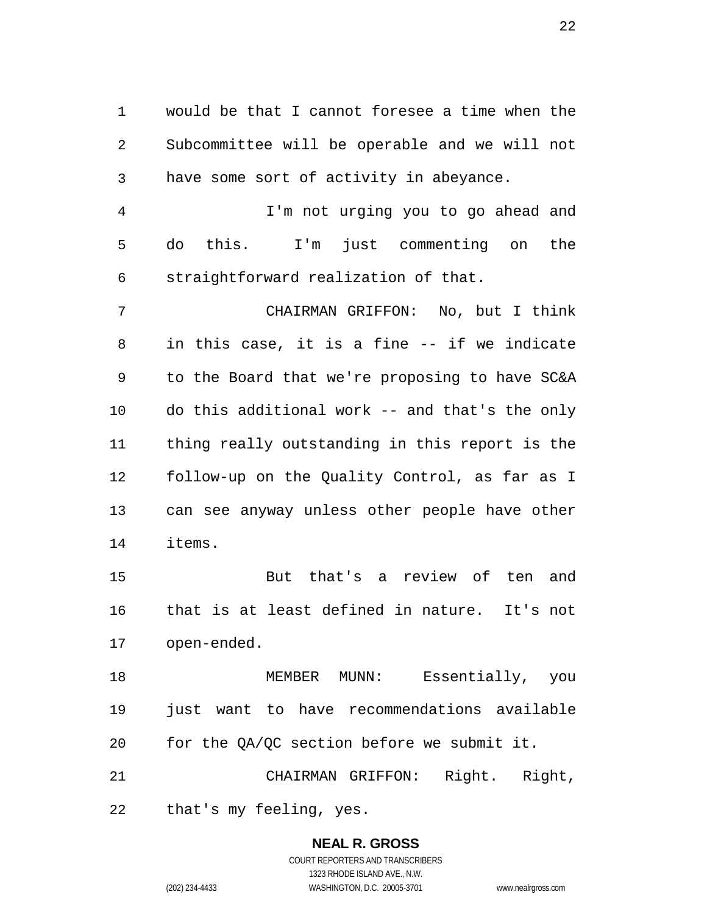1 would be that I cannot foresee a time when the 2 3 Subcommittee will be operable and we will not have some sort of activity in abeyance.

4 5 6 I'm not urging you to go ahead and do this. I'm just commenting on the straightforward realization of that.

7 8 9 10 11 12 13 14 CHAIRMAN GRIFFON: No, but I think in this case, it is a fine -- if we indicate to the Board that we're proposing to have SC&A do this additional work -- and that's the only thing really outstanding in this report is the follow-up on the Quality Control, as far as I can see anyway unless other people have other items.

15 16 17 But that's a review of ten and that is at least defined in nature. It's not open-ended.

18 19 20 MEMBER MUNN: Essentially, you just want to have recommendations available for the QA/QC section before we submit it.

21 22 CHAIRMAN GRIFFON: Right. Right, that's my feeling, yes.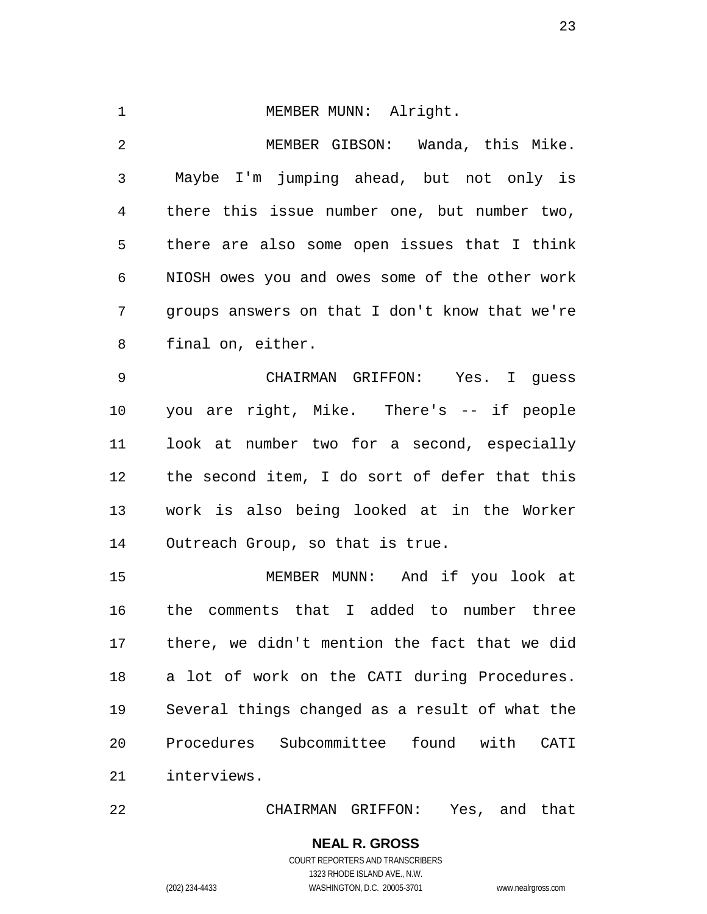1 MEMBER MUNN: Alright. 2 3 4 5 6 7 8 9 10 11 12 13 14 MEMBER GIBSON: Wanda, this Mike. Maybe I'm jumping ahead, but not only is there this issue number one, but number two, there are also some open issues that I think NIOSH owes you and owes some of the other work groups answers on that I don't know that we're final on, either. CHAIRMAN GRIFFON: Yes. I guess you are right, Mike. There's -- if people look at number two for a second, especially the second item, I do sort of defer that this work is also being looked at in the Worker Outreach Group, so that is true.

15 16 17 18 19 20 21 MEMBER MUNN: And if you look at the comments that I added to number three there, we didn't mention the fact that we did a lot of work on the CATI during Procedures. Several things changed as a result of what the Procedures Subcommittee found with CATI interviews.

22 CHAIRMAN GRIFFON: Yes, and that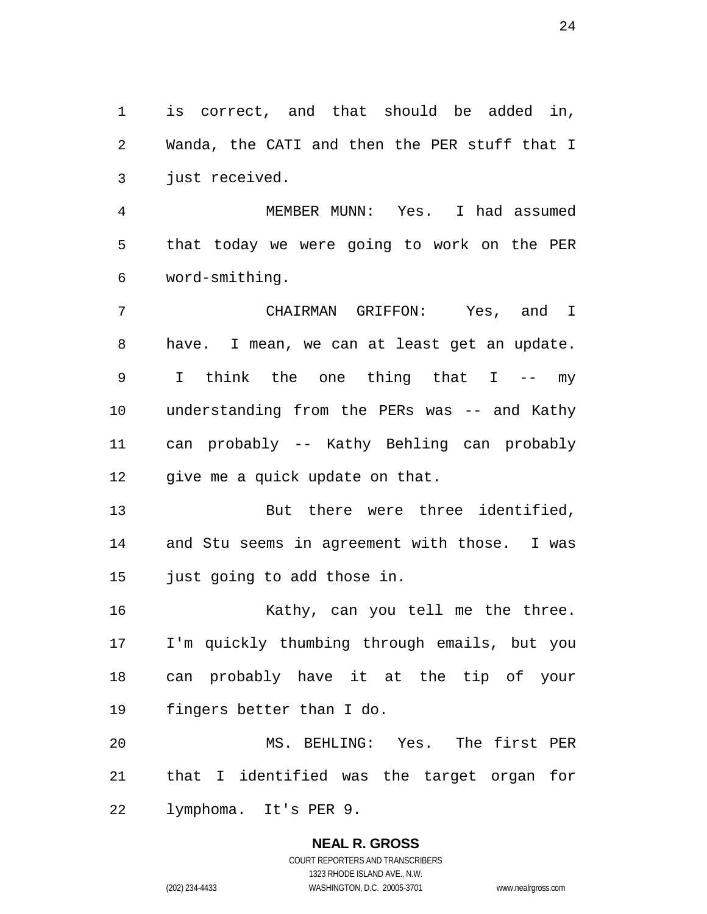1 is correct, and that should be added in, 2 3 Wanda, the CATI and then the PER stuff that I just received.

4 5 6 MEMBER MUNN: Yes. I had assumed that today we were going to work on the PER word-smithing.

7 8 9 10 11 12 CHAIRMAN GRIFFON: Yes, and I have. I mean, we can at least get an update. I think the one thing that I -- my understanding from the PERs was -- and Kathy can probably -- Kathy Behling can probably give me a quick update on that.

13 14 15 But there were three identified, and Stu seems in agreement with those. I was just going to add those in.

16 17 18 19 Kathy, can you tell me the three. I'm quickly thumbing through emails, but you can probably have it at the tip of your fingers better than I do.

20 21 22 MS. BEHLING: Yes. The first PER that I identified was the target organ for lymphoma. It's PER 9.

#### **NEAL R. GROSS** COURT REPORTERS AND TRANSCRIBERS 1323 RHODE ISLAND AVE., N.W. (202) 234-4433 WASHINGTON, D.C. 20005-3701 www.nealrgross.com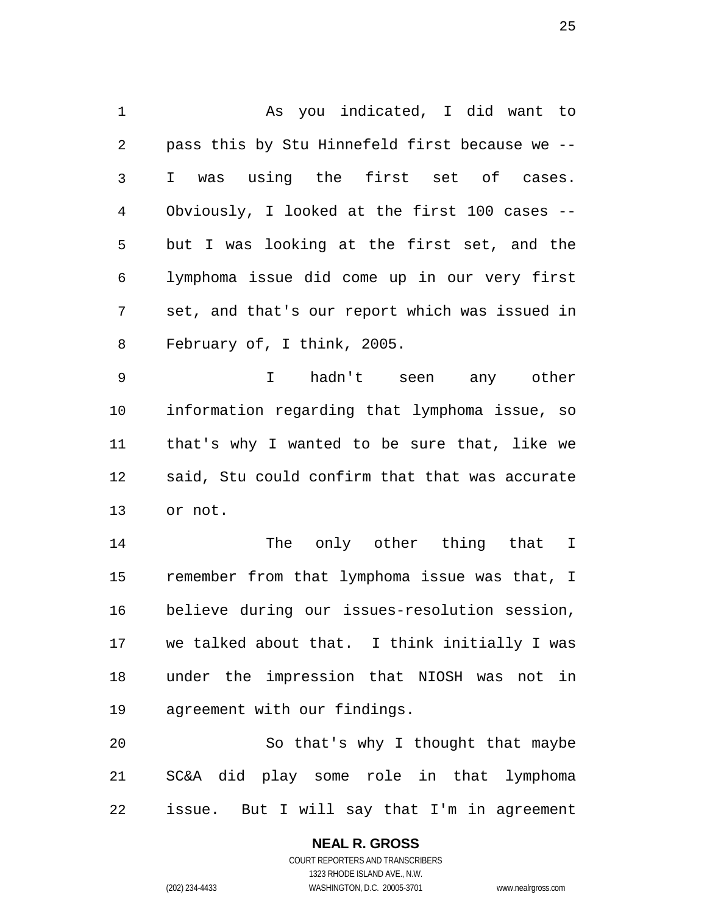1 As you indicated, I did want to 2 3 4 5 6 7 8 pass this by Stu Hinnefeld first because we -- I was using the first set of cases. Obviously, I looked at the first 100 cases - but I was looking at the first set, and the lymphoma issue did come up in our very first set, and that's our report which was issued in February of, I think, 2005.

9 10 11 12 13 I hadn't seen any other information regarding that lymphoma issue, so that's why I wanted to be sure that, like we said, Stu could confirm that that was accurate or not.

14 15 16 17 18 19 The only other thing that I remember from that lymphoma issue was that, I believe during our issues-resolution session, we talked about that. I think initially I was under the impression that NIOSH was not in agreement with our findings.

20 21 22 So that's why I thought that maybe SC&A did play some role in that lymphoma issue. But I will say that I'm in agreement

### **NEAL R. GROSS**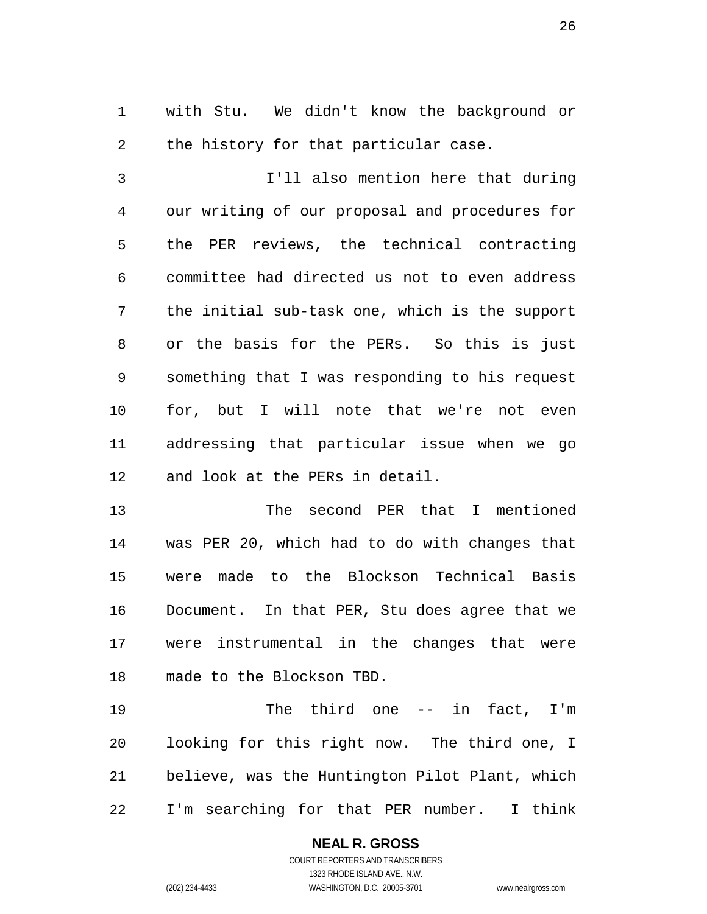1 with Stu. We didn't know the background or 2 the history for that particular case.

3 4 5 6 7 8 9 10 11 12 I'll also mention here that during our writing of our proposal and procedures for the PER reviews, the technical contracting committee had directed us not to even address the initial sub-task one, which is the support or the basis for the PERs. So this is just something that I was responding to his request for, but I will note that we're not even addressing that particular issue when we go and look at the PERs in detail.

13 14 15 16 17 18 The second PER that I mentioned was PER 20, which had to do with changes that were made to the Blockson Technical Basis Document. In that PER, Stu does agree that we were instrumental in the changes that were made to the Blockson TBD.

19 20 21 22 The third one -- in fact, I'm looking for this right now. The third one, I believe, was the Huntington Pilot Plant, which I'm searching for that PER number. I think

> **NEAL R. GROSS** COURT REPORTERS AND TRANSCRIBERS 1323 RHODE ISLAND AVE., N.W.

(202) 234-4433 WASHINGTON, D.C. 20005-3701 www.nealrgross.com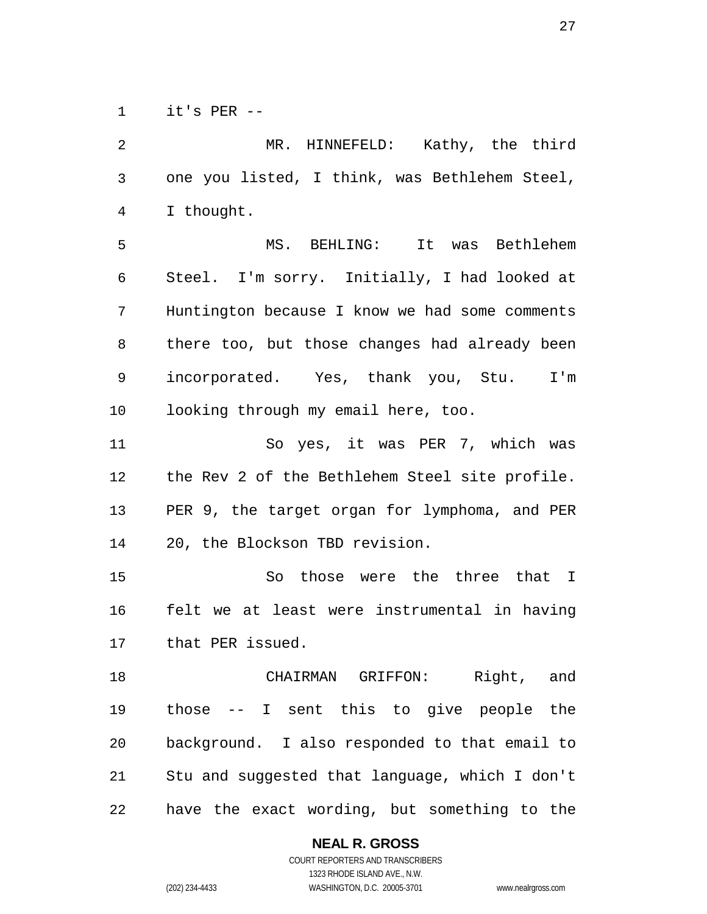1 it's PER --

| 2              | MR. HINNEFELD: Kathy, the third                |
|----------------|------------------------------------------------|
| $\mathsf{3}$   | one you listed, I think, was Bethlehem Steel,  |
| $\overline{4}$ | I thought.                                     |
| 5              | MS. BEHLING: It was Bethlehem                  |
| 6              | Steel. I'm sorry. Initially, I had looked at   |
| 7              | Huntington because I know we had some comments |
| 8              | there too, but those changes had already been  |
| 9              | incorporated. Yes, thank you, Stu. I'm         |
| 10             | looking through my email here, too.            |
| 11             | So yes, it was PER 7, which was                |
| 12             | the Rev 2 of the Bethlehem Steel site profile. |
| 13             | PER 9, the target organ for lymphoma, and PER  |
| 14             | 20, the Blockson TBD revision.                 |
| 15             | So those were the three that I                 |
| 16             | felt we at least were instrumental in having   |
| 17             | that PER issued.                               |
| 18             | CHAIRMAN GRIFFON: Right, and                   |
| 19             | those -- I sent this to give people the        |
| 20             | background. I also responded to that email to  |
| 21             | Stu and suggested that language, which I don't |
| 22             | have the exact wording, but something to the   |

**NEAL R. GROSS**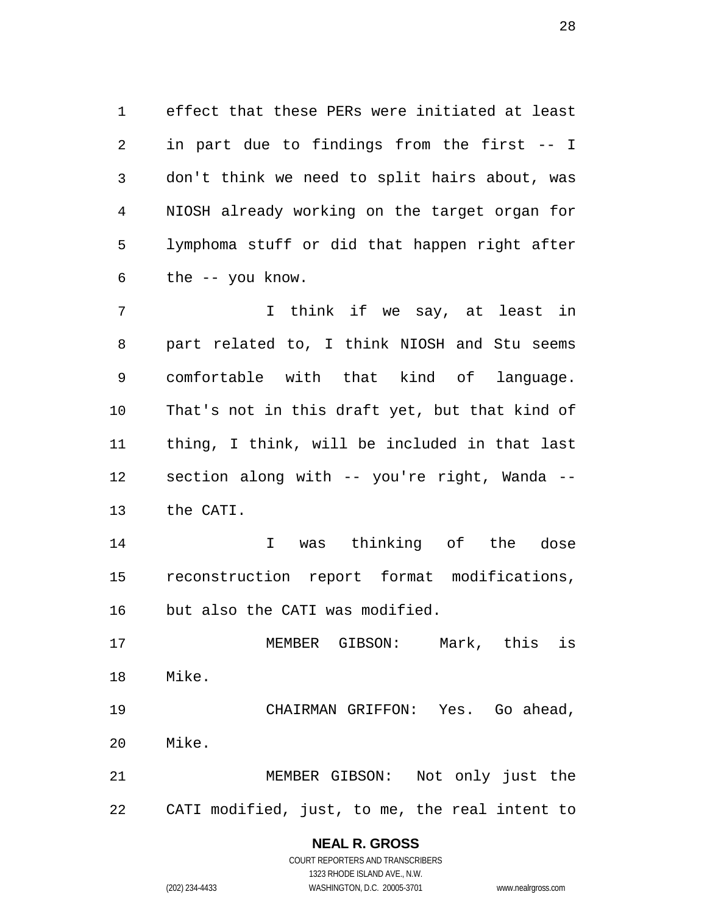1 effect that these PERs were initiated at least 2 3 4 5 6 in part due to findings from the first -- I don't think we need to split hairs about, was NIOSH already working on the target organ for lymphoma stuff or did that happen right after the -- you know.

7 8 9 10 11 12 13 I think if we say, at least in part related to, I think NIOSH and Stu seems comfortable with that kind of language. That's not in this draft yet, but that kind of thing, I think, will be included in that last section along with -- you're right, Wanda -the CATI.

14 15 16 I was thinking of the dose reconstruction report format modifications, but also the CATI was modified.

17 18 MEMBER GIBSON: Mark, this is Mike.

19 20 CHAIRMAN GRIFFON: Yes. Go ahead, Mike.

21 22 MEMBER GIBSON: Not only just the CATI modified, just, to me, the real intent to

#### **NEAL R. GROSS**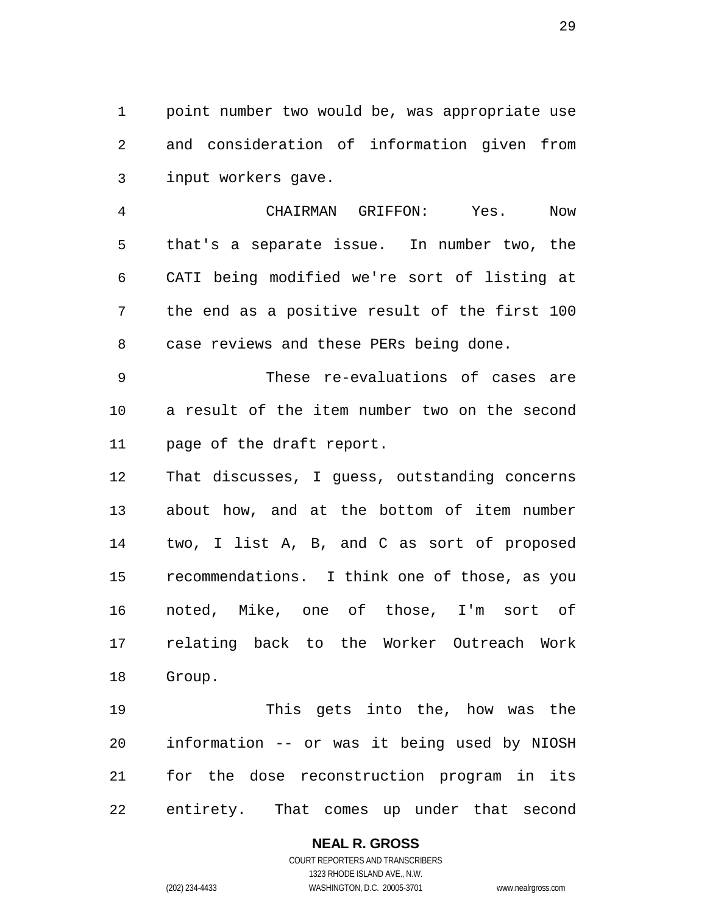1 point number two would be, was appropriate use 2 3 and consideration of information given from input workers gave.

4 5 6 7 8 CHAIRMAN GRIFFON: Yes. Now that's a separate issue. In number two, the CATI being modified we're sort of listing at the end as a positive result of the first 100 case reviews and these PERs being done.

9 10 11 These re-evaluations of cases are a result of the item number two on the second page of the draft report.

12 13 14 15 16 17 18 That discusses, I guess, outstanding concerns about how, and at the bottom of item number two, I list A, B, and C as sort of proposed recommendations. I think one of those, as you noted, Mike, one of those, I'm sort of relating back to the Worker Outreach Work Group.

19 20 21 22 This gets into the, how was the information -- or was it being used by NIOSH for the dose reconstruction program in its entirety. That comes up under that second

#### **NEAL R. GROSS** COURT REPORTERS AND TRANSCRIBERS

1323 RHODE ISLAND AVE., N.W. (202) 234-4433 WASHINGTON, D.C. 20005-3701 www.nealrgross.com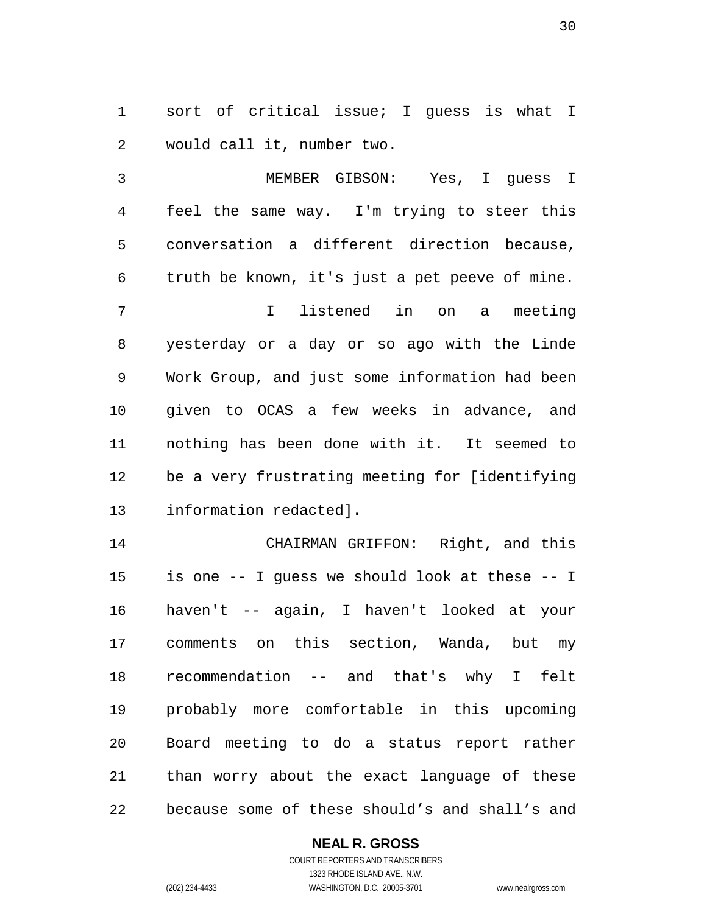1 sort of critical issue; I guess is what I 2 would call it, number two.

3 4 5 6 7 8 9 10 11 12 13 MEMBER GIBSON: Yes, I guess I feel the same way. I'm trying to steer this conversation a different direction because, truth be known, it's just a pet peeve of mine. I listened in on a meeting yesterday or a day or so ago with the Linde Work Group, and just some information had been given to OCAS a few weeks in advance, and nothing has been done with it. It seemed to be a very frustrating meeting for [identifying information redacted].

14 15 16 17 18 19 20 21 22 CHAIRMAN GRIFFON: Right, and this is one -- I guess we should look at these -- I haven't -- again, I haven't looked at your comments on this section, Wanda, but my recommendation -- and that's why I felt probably more comfortable in this upcoming Board meeting to do a status report rather than worry about the exact language of these because some of these should's and shall's and

#### **NEAL R. GROSS**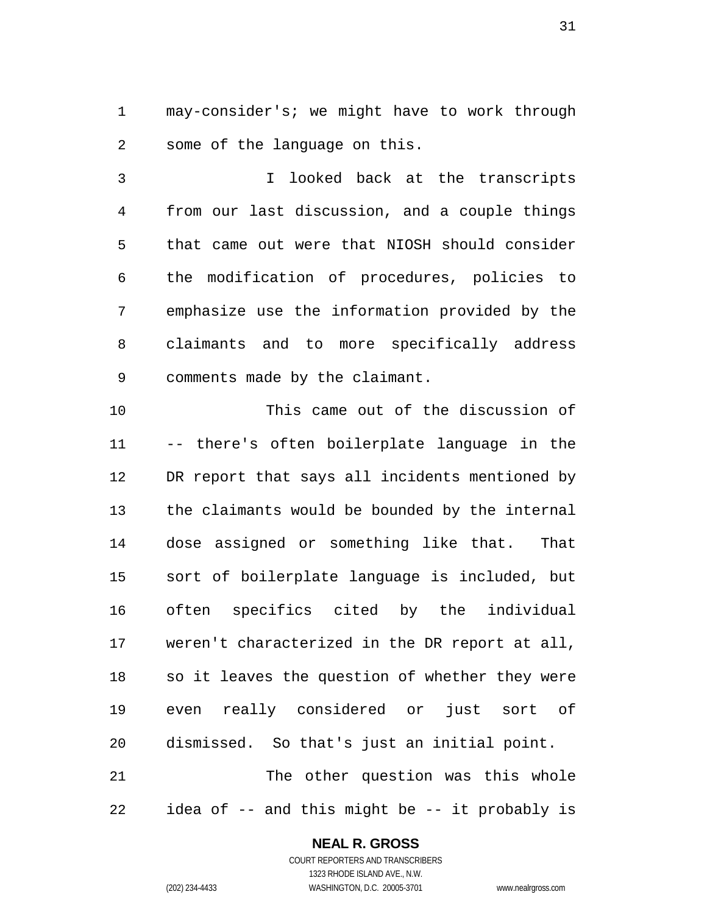1 may-consider's; we might have to work through 2 some of the language on this.

3 4 5 6 7 8 9 I looked back at the transcripts from our last discussion, and a couple things that came out were that NIOSH should consider the modification of procedures, policies to emphasize use the information provided by the claimants and to more specifically address comments made by the claimant.

10 11 12 13 14 15 16 17 18 19 20 21 This came out of the discussion of -- there's often boilerplate language in the DR report that says all incidents mentioned by the claimants would be bounded by the internal dose assigned or something like that. That sort of boilerplate language is included, but often specifics cited by the individual weren't characterized in the DR report at all, so it leaves the question of whether they were even really considered or just sort of dismissed. So that's just an initial point. The other question was this whole

22 idea of -- and this might be -- it probably is

#### **NEAL R. GROSS**

COURT REPORTERS AND TRANSCRIBERS 1323 RHODE ISLAND AVE., N.W. (202) 234-4433 WASHINGTON, D.C. 20005-3701 www.nealrgross.com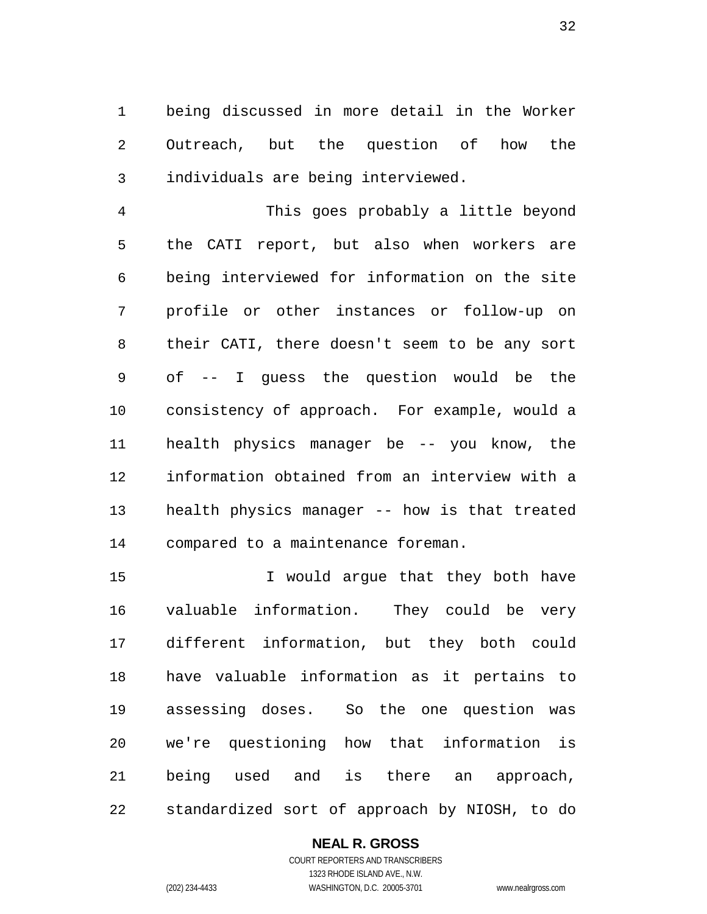1 being discussed in more detail in the Worker 2 3 Outreach, but the question of how the individuals are being interviewed.

4 5 6 7 8 9 10 11 12 13 14 This goes probably a little beyond the CATI report, but also when workers are being interviewed for information on the site profile or other instances or follow-up on their CATI, there doesn't seem to be any sort of -- I guess the question would be the consistency of approach. For example, would a health physics manager be -- you know, the information obtained from an interview with a health physics manager -- how is that treated compared to a maintenance foreman.

15 16 17 18 19 20 21 22 I would argue that they both have valuable information. They could be very different information, but they both could have valuable information as it pertains to assessing doses. So the one question was we're questioning how that information is being used and is there an approach, standardized sort of approach by NIOSH, to do

#### **NEAL R. GROSS**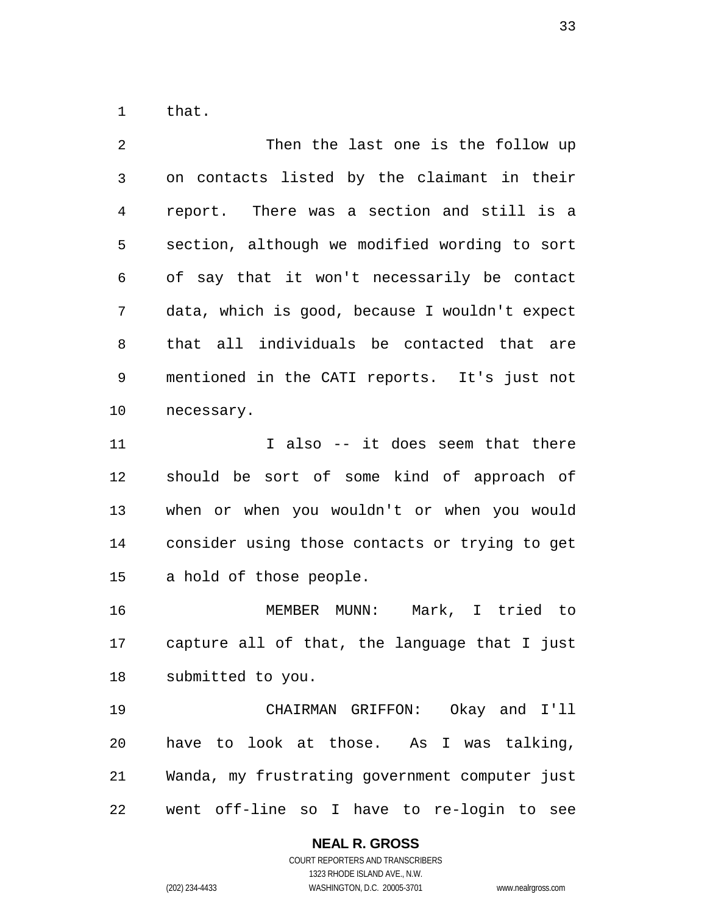1 that.

2 3 4 5 6 7 8 9 10 11 12 13 14 15 16 17 18 19 20 21 22 Then the last one is the follow up on contacts listed by the claimant in their report. There was a section and still is a section, although we modified wording to sort of say that it won't necessarily be contact data, which is good, because I wouldn't expect that all individuals be contacted that are mentioned in the CATI reports. It's just not necessary. I also -- it does seem that there should be sort of some kind of approach of when or when you wouldn't or when you would consider using those contacts or trying to get a hold of those people. MEMBER MUNN: Mark, I tried to capture all of that, the language that I just submitted to you. CHAIRMAN GRIFFON: Okay and I'll have to look at those. As I was talking, Wanda, my frustrating government computer just went off-line so I have to re-login to see

#### **NEAL R. GROSS**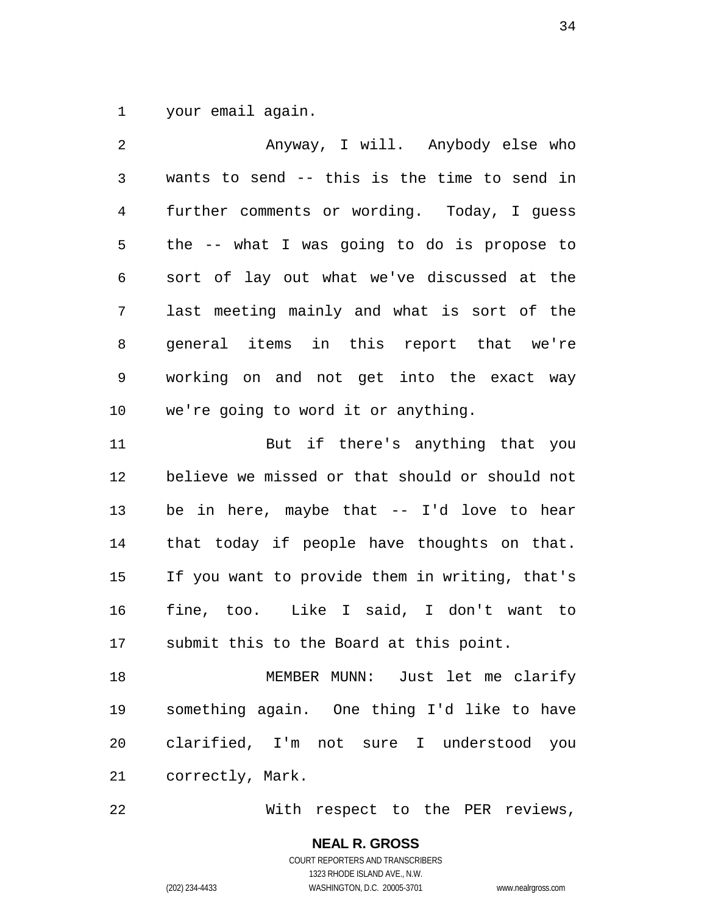1 your email again.

2 3 4 5 6 7 8 9 10 11 12 13 14 Anyway, I will. Anybody else who wants to send -- this is the time to send in further comments or wording. Today, I guess the -- what I was going to do is propose to sort of lay out what we've discussed at the last meeting mainly and what is sort of the general items in this report that we're working on and not get into the exact way we're going to word it or anything. But if there's anything that you believe we missed or that should or should not be in here, maybe that -- I'd love to hear that today if people have thoughts on that.

15 16 17 If you want to provide them in writing, that's fine, too. Like I said, I don't want to submit this to the Board at this point.

18 19 20 21 MEMBER MUNN: Just let me clarify something again. One thing I'd like to have clarified, I'm not sure I understood you correctly, Mark.

22 With respect to the PER reviews,

#### **NEAL R. GROSS** COURT REPORTERS AND TRANSCRIBERS 1323 RHODE ISLAND AVE., N.W.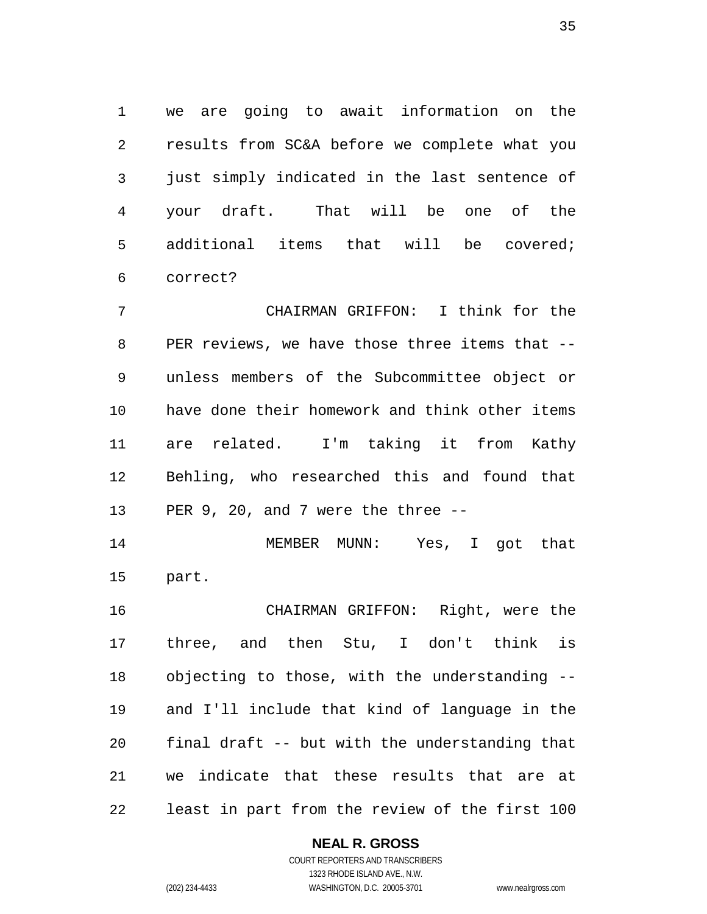1 we are going to await information on the 2 3 4 5 6 results from SC&A before we complete what you just simply indicated in the last sentence of your draft. That will be one of the additional items that will be covered; correct?

7 8 9 10 11 12 13 CHAIRMAN GRIFFON: I think for the PER reviews, we have those three items that -unless members of the Subcommittee object or have done their homework and think other items are related. I'm taking it from Kathy Behling, who researched this and found that PER 9, 20, and 7 were the three --

14 15 MEMBER MUNN: Yes, I got that part.

16 17 18 19 20 21 22 CHAIRMAN GRIFFON: Right, were the three, and then Stu, I don't think is objecting to those, with the understanding - and I'll include that kind of language in the final draft -- but with the understanding that we indicate that these results that are at least in part from the review of the first 100

#### **NEAL R. GROSS**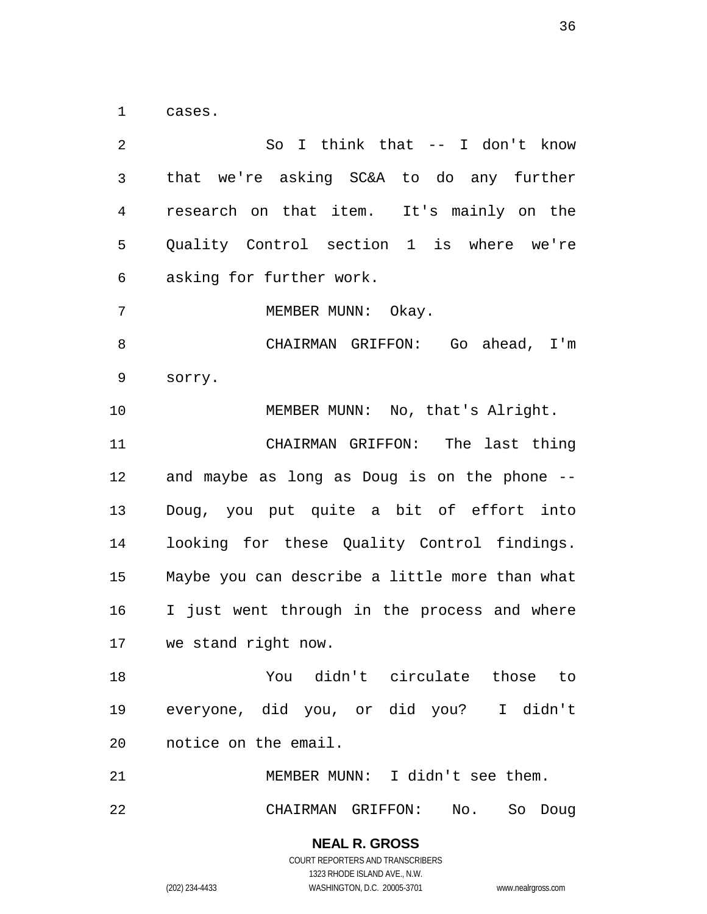1 cases.

2 3 4 5 6 7 8 9 10 11 12 13 14 15 16 17 18 19 20 21 22 So I think that -- I don't know that we're asking SC&A to do any further research on that item. It's mainly on the Quality Control section 1 is where we're asking for further work. MEMBER MUNN: Okay. CHAIRMAN GRIFFON: Go ahead, I'm sorry. MEMBER MUNN: No, that's Alright. CHAIRMAN GRIFFON: The last thing and maybe as long as Doug is on the phone -- Doug, you put quite a bit of effort into looking for these Quality Control findings. Maybe you can describe a little more than what I just went through in the process and where we stand right now. You didn't circulate those to everyone, did you, or did you? I didn't notice on the email. MEMBER MUNN: I didn't see them. CHAIRMAN GRIFFON: No. So Doug

> **NEAL R. GROSS** COURT REPORTERS AND TRANSCRIBERS

> > 1323 RHODE ISLAND AVE., N.W.

(202) 234-4433 WASHINGTON, D.C. 20005-3701 www.nealrgross.com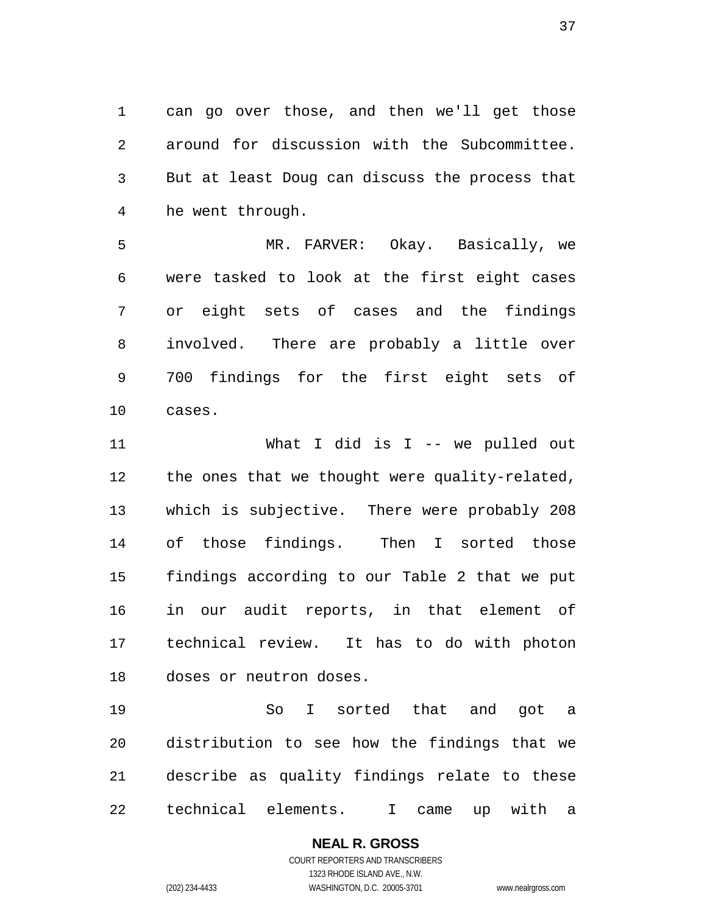1 can go over those, and then we'll get those 2 3 4 around for discussion with the Subcommittee. But at least Doug can discuss the process that he went through.

5 6 7 8 9 0 1 MR. FARVER: Okay. Basically, we were tasked to look at the first eight cases or eight sets of cases and the findings involved. There are probably a little over 700 findings for the first eight sets of cases.

 $11$ 2 1 3 1 4 1 5 1 6 1 7 1 8 1 What I did is I -- we pulled out the ones that we thought were quality-related, which is subjective. There were probably 208 of those findings. Then I sorted those findings according to our Table 2 that we put in our audit reports, in that element of technical review. It has to do with photon doses or neutron doses.

9 1 20 21 2 2 So I sorted that and got a distribution to see how the findings that we describe as quality findings relate to these technical elements. I came up with a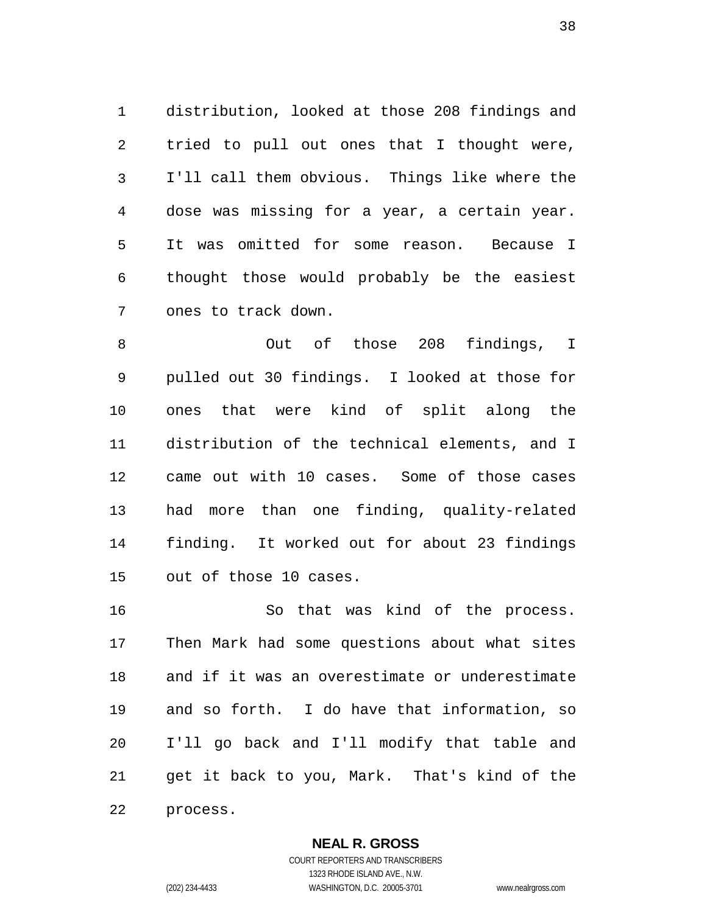1 distribution, looked at those 208 findings and 2 3 4 5 6 7 tried to pull out ones that I thought were, I'll call them obvious. Things like where the dose was missing for a year, a certain year. It was omitted for some reason. Because I thought those would probably be the easiest ones to track down.

8 9 10 11 12 13 14 15 Out of those 208 findings, I pulled out 30 findings. I looked at those for ones that were kind of split along the distribution of the technical elements, and I came out with 10 cases. Some of those cases had more than one finding, quality-related finding. It worked out for about 23 findings out of those 10 cases.

16 17 18 19 20 21 22 So that was kind of the process. Then Mark had some questions about what sites and if it was an overestimate or underestimate and so forth. I do have that information, so I'll go back and I'll modify that table and get it back to you, Mark. That's kind of the process.

#### **NEAL R. GROSS** COURT REPORTERS AND TRANSCRIBERS

1323 RHODE ISLAND AVE., N.W. (202) 234-4433 WASHINGTON, D.C. 20005-3701 www.nealrgross.com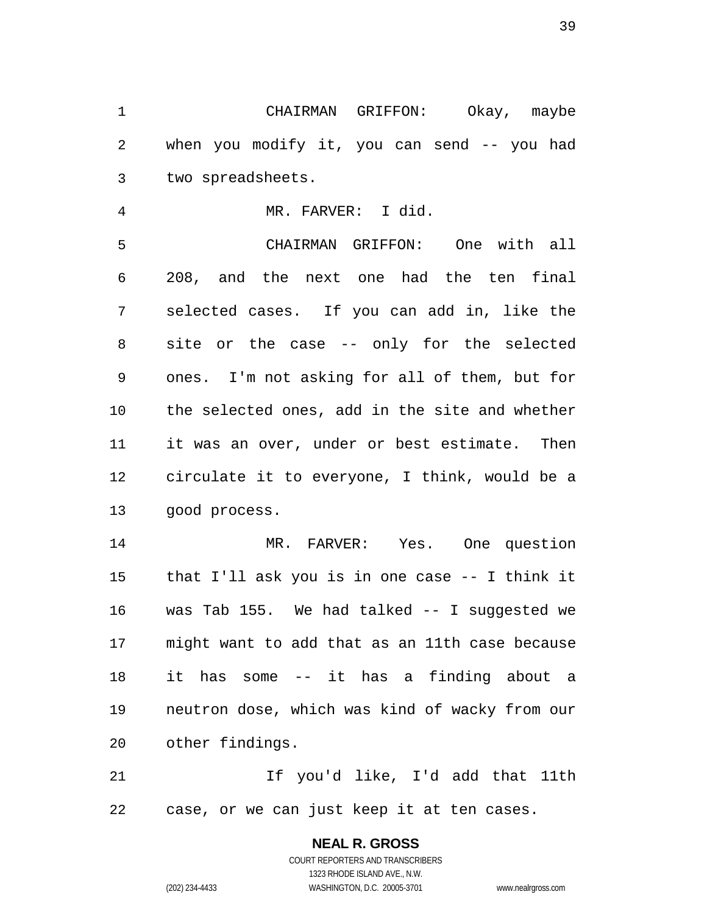1 CHAIRMAN GRIFFON: Okay, maybe 2 3 when you modify it, you can send -- you had two spreadsheets.

4 5 6 7 8 9 10 MR. FARVER: I did. CHAIRMAN GRIFFON: One with all 208, and the next one had the ten final selected cases. If you can add in, like the site or the case -- only for the selected ones. I'm not asking for all of them, but for the selected ones, add in the site and whether

11 12 13 it was an over, under or best estimate. Then circulate it to everyone, I think, would be a good process.

14 15 16 17 18 19 20 MR. FARVER: Yes. One question that I'll ask you is in one case -- I think it was Tab 155. We had talked -- I suggested we might want to add that as an 11th case because it has some -- it has a finding about a neutron dose, which was kind of wacky from our other findings.

21 22 If you'd like, I'd add that 11th case, or we can just keep it at ten cases.

## **NEAL R. GROSS**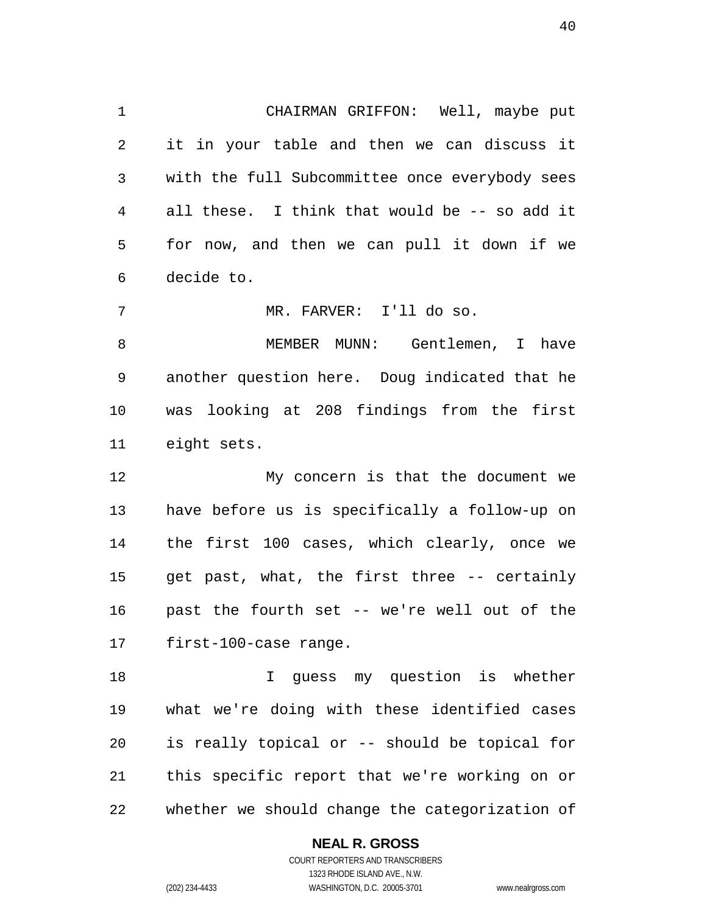1 CHAIRMAN GRIFFON: Well, maybe put 2 3 4 5 6 it in your table and then we can discuss it with the full Subcommittee once everybody sees all these. I think that would be -- so add it for now, and then we can pull it down if we decide to.

7 MR. FARVER: I'll do so.

8 9 10 11 MEMBER MUNN: Gentlemen, I have another question here. Doug indicated that he was looking at 208 findings from the first eight sets.

12 13 14 15 16 17 My concern is that the document we have before us is specifically a follow-up on the first 100 cases, which clearly, once we get past, what, the first three -- certainly past the fourth set -- we're well out of the first-100-case range.

18 19 20 21 22 I guess my question is whether what we're doing with these identified cases is really topical or -- should be topical for this specific report that we're working on or whether we should change the categorization of

#### **NEAL R. GROSS**

COURT REPORTERS AND TRANSCRIBERS 1323 RHODE ISLAND AVE., N.W. (202) 234-4433 WASHINGTON, D.C. 20005-3701 www.nealrgross.com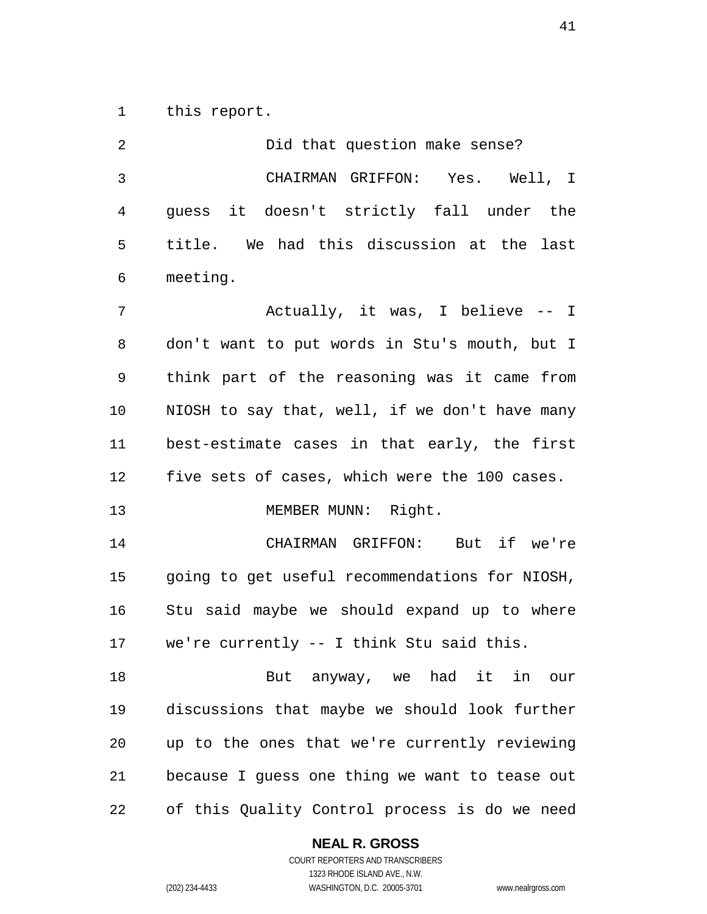1 this report.

| 2  | Did that question make sense?                  |
|----|------------------------------------------------|
| 3  | CHAIRMAN GRIFFON: Yes. Well, I                 |
| 4  | guess it doesn't strictly fall under the       |
| 5  | title. We had this discussion at the last      |
| 6  | meeting.                                       |
| 7  | Actually, it was, I believe -- I               |
| 8  | don't want to put words in Stu's mouth, but I  |
| 9  | think part of the reasoning was it came from   |
| 10 | NIOSH to say that, well, if we don't have many |
| 11 | best-estimate cases in that early, the first   |
| 12 | five sets of cases, which were the 100 cases.  |
| 13 | MEMBER MUNN: Right.                            |
| 14 | CHAIRMAN GRIFFON: But if we're                 |
| 15 | going to get useful recommendations for NIOSH, |
| 16 | Stu said maybe we should expand up to where    |
| 17 | we're currently -- I think Stu said this.      |
| 18 | But anyway, we had it in<br>our                |
| 19 | discussions that maybe we should look further  |
| 20 | up to the ones that we're currently reviewing  |
| 21 | because I guess one thing we want to tease out |
| 22 | of this Quality Control process is do we need  |

### **NEAL R. GROSS**

COURT REPORTERS AND TRANSCRIBERS 1323 RHODE ISLAND AVE., N.W. (202) 234-4433 WASHINGTON, D.C. 20005-3701 www.nealrgross.com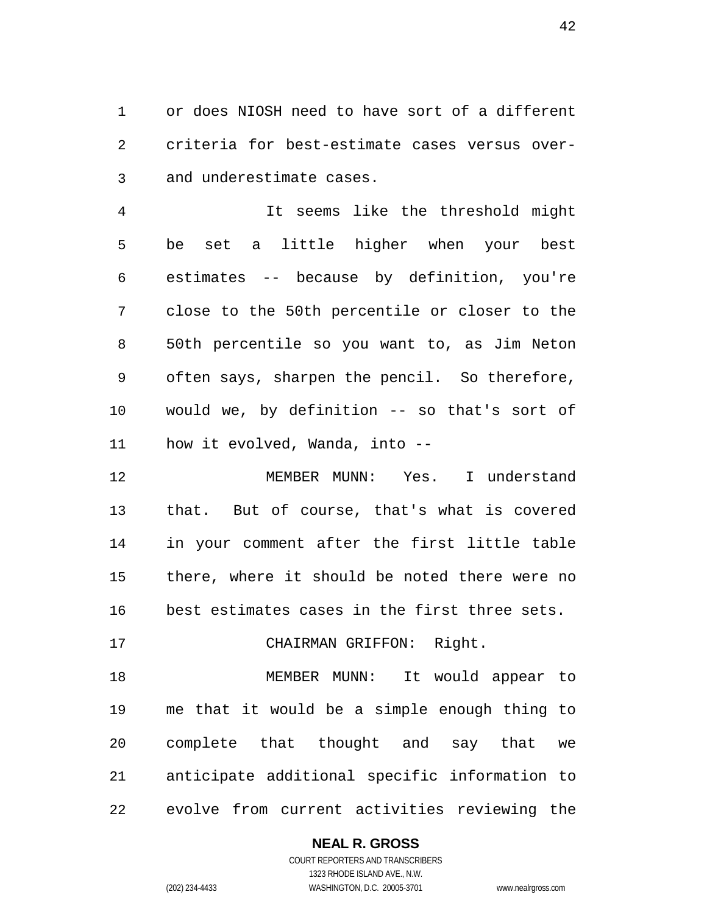1 or does NIOSH need to have sort of a different 2 3 criteria for best-estimate cases versus overand underestimate cases.

4 5 6 7 8 9 0 1  $11$  It seems like the threshold might be set a little higher when your best estimates -- because by definition, you're close to the 50th percentile or closer to the 50th percentile so you want to, as Jim Neton often says, sharpen the pencil. So therefore, would we, by definition -- so that's sort of how it evolved, Wanda, into --

2 1 3 1 4 1 5 1 6 1 MEMBER MUNN: Yes. I understand that. But of course, that's what is covered in your comment after the first little table there, where it should be noted there were no best estimates cases in the first three sets.

#### 7 1 CHAIRMAN GRIFFON: Right.

8 1 9 1 20 21 2 2 MEMBER MUNN: It would appear to me that it would be a simple enough thing to complete that thought and say that we anticipate additional specific information to evolve from current activities reviewing the

#### **NEAL R. GROSS**

COURT REPORTERS AND TRANSCRIBERS 1323 RHODE ISLAND AVE., N.W. (202) 234-4433 WASHINGTON, D.C. 20005-3701 www.nealrgross.com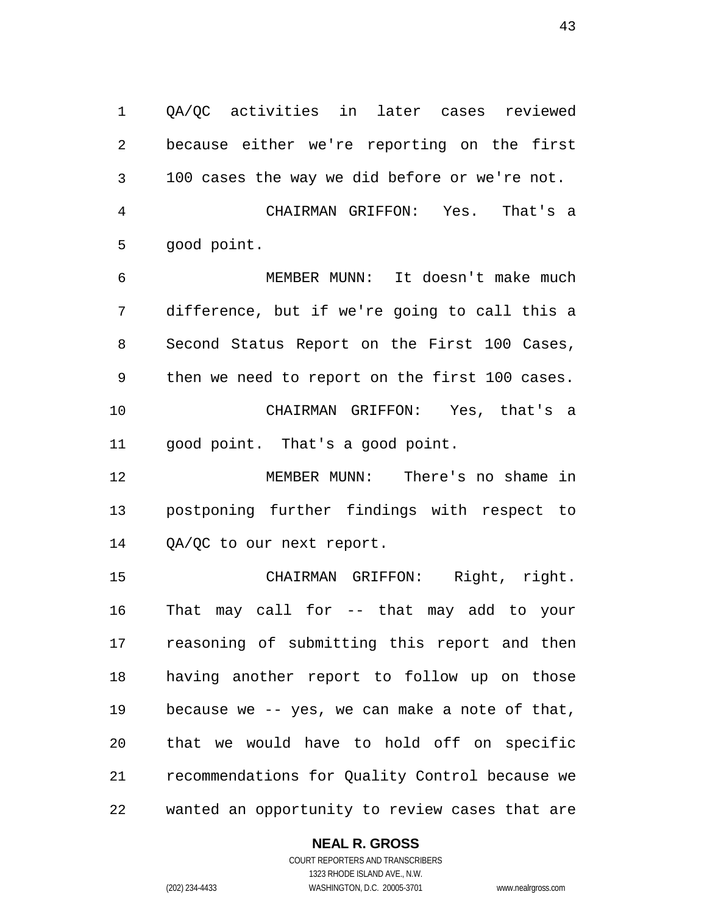1 QA/QC activities in later cases reviewed 2 3 4 5 because either we're reporting on the first 100 cases the way we did before or we're not. CHAIRMAN GRIFFON: Yes. That's a good point.

6 7 8 9 10 11 MEMBER MUNN: It doesn't make much difference, but if we're going to call this a Second Status Report on the First 100 Cases, then we need to report on the first 100 cases. CHAIRMAN GRIFFON: Yes, that's a good point. That's a good point.

12 13 14 MEMBER MUNN: There's no shame in postponing further findings with respect to QA/QC to our next report.

15 16 17 18 19 20 21 22 CHAIRMAN GRIFFON: Right, right. That may call for -- that may add to your reasoning of submitting this report and then having another report to follow up on those because we -- yes, we can make a note of that, that we would have to hold off on specific recommendations for Quality Control because we wanted an opportunity to review cases that are

#### **NEAL R. GROSS**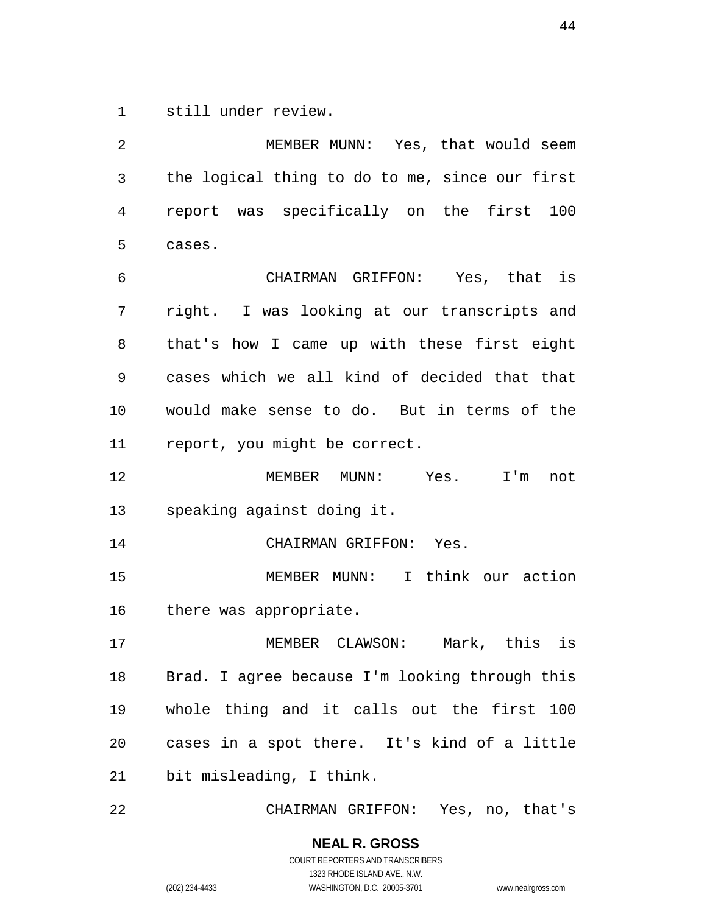1 still under review.

2 3 4 5 MEMBER MUNN: Yes, that would seem the logical thing to do to me, since our first report was specifically on the first 100 cases.

6 7 8 9 10 11 CHAIRMAN GRIFFON: Yes, that is right. I was looking at our transcripts and that's how I came up with these first eight cases which we all kind of decided that that would make sense to do. But in terms of the report, you might be correct.

12 13 MEMBER MUNN: Yes. I'm not speaking against doing it.

14 CHAIRMAN GRIFFON: Yes.

15 16 MEMBER MUNN: I think our action there was appropriate.

17 18 19 20 21 MEMBER CLAWSON: Mark, this is Brad. I agree because I'm looking through this whole thing and it calls out the first 100 cases in a spot there. It's kind of a little bit misleading, I think.

22 CHAIRMAN GRIFFON: Yes, no, that's

> **NEAL R. GROSS** COURT REPORTERS AND TRANSCRIBERS

1323 RHODE ISLAND AVE., N.W. (202) 234-4433 WASHINGTON, D.C. 20005-3701 www.nealrgross.com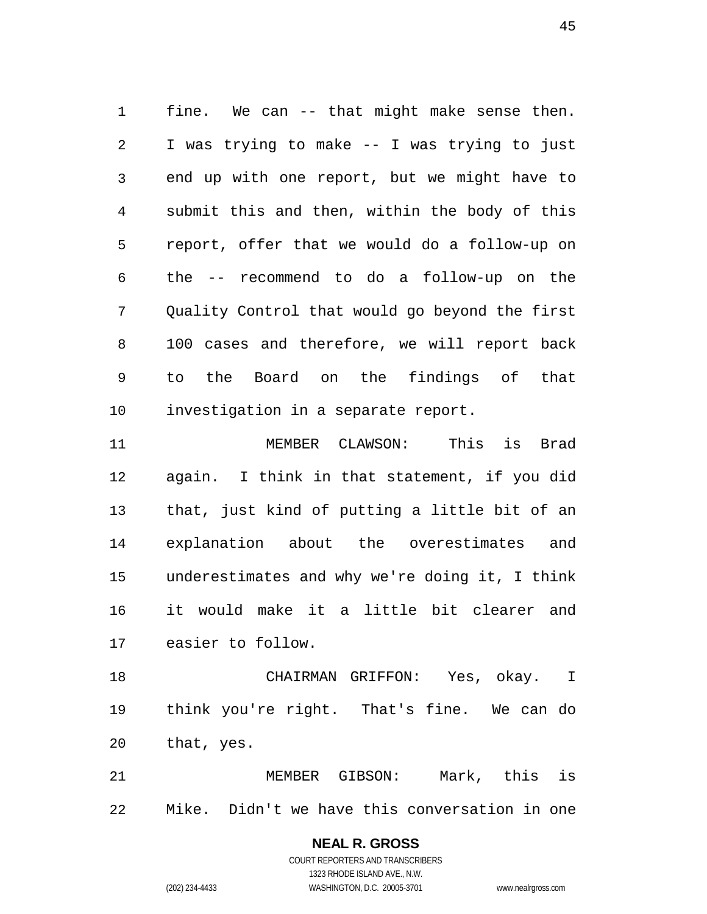1 fine. We can -- that might make sense then. 2 3 4 5 6 7 8 9 10 I was trying to make -- I was trying to just end up with one report, but we might have to submit this and then, within the body of this report, offer that we would do a follow-up on the -- recommend to do a follow-up on the Quality Control that would go beyond the first 100 cases and therefore, we will report back to the Board on the findings of that investigation in a separate report.

11 12 13 14 15 16 17 MEMBER CLAWSON: This is Brad again. I think in that statement, if you did that, just kind of putting a little bit of an explanation about the overestimates and underestimates and why we're doing it, I think it would make it a little bit clearer and easier to follow.

18 19 20 CHAIRMAN GRIFFON: Yes, okay. I think you're right. That's fine. We can do that, yes.

21 22 MEMBER GIBSON: Mark, this is Mike. Didn't we have this conversation in one

> **NEAL R. GROSS** COURT REPORTERS AND TRANSCRIBERS 1323 RHODE ISLAND AVE., N.W. (202) 234-4433 WASHINGTON, D.C. 20005-3701 www.nealrgross.com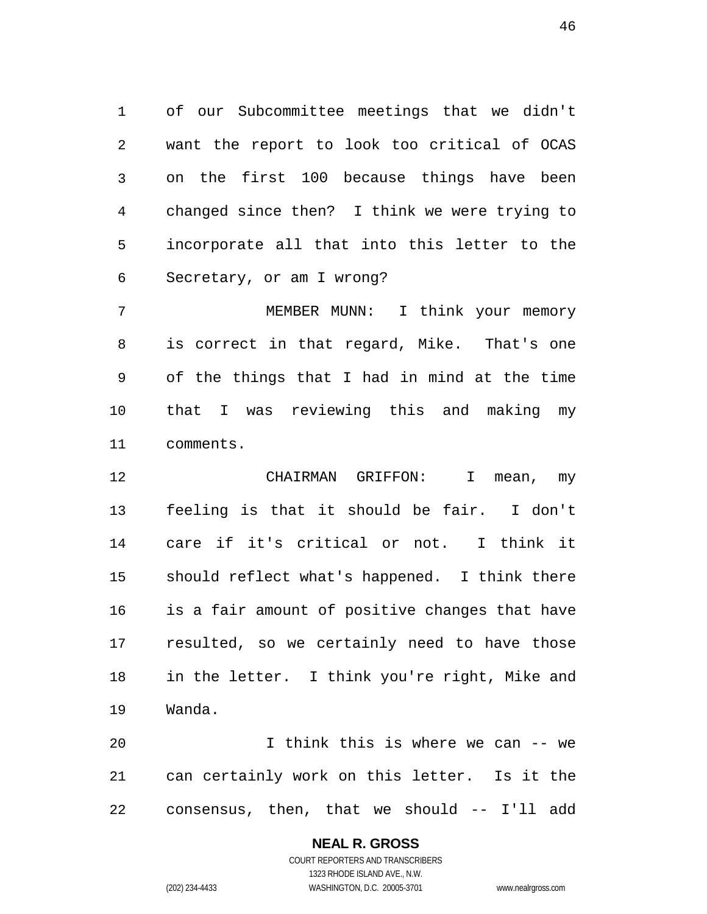1 of our Subcommittee meetings that we didn't 2 3 4 5 6 want the report to look too critical of OCAS on the first 100 because things have been changed since then? I think we were trying to incorporate all that into this letter to the Secretary, or am I wrong?

7 8 9 10 11 MEMBER MUNN: I think your memory is correct in that regard, Mike. That's one of the things that I had in mind at the time that I was reviewing this and making my comments.

12 13 14 15 16 17 18 19 CHAIRMAN GRIFFON: I mean, my feeling is that it should be fair. I don't care if it's critical or not. I think it should reflect what's happened. I think there is a fair amount of positive changes that have resulted, so we certainly need to have those in the letter. I think you're right, Mike and Wanda.

20 21 22 I think this is where we can -- we can certainly work on this letter. Is it the consensus, then, that we should -- I'll add

#### **NEAL R. GROSS**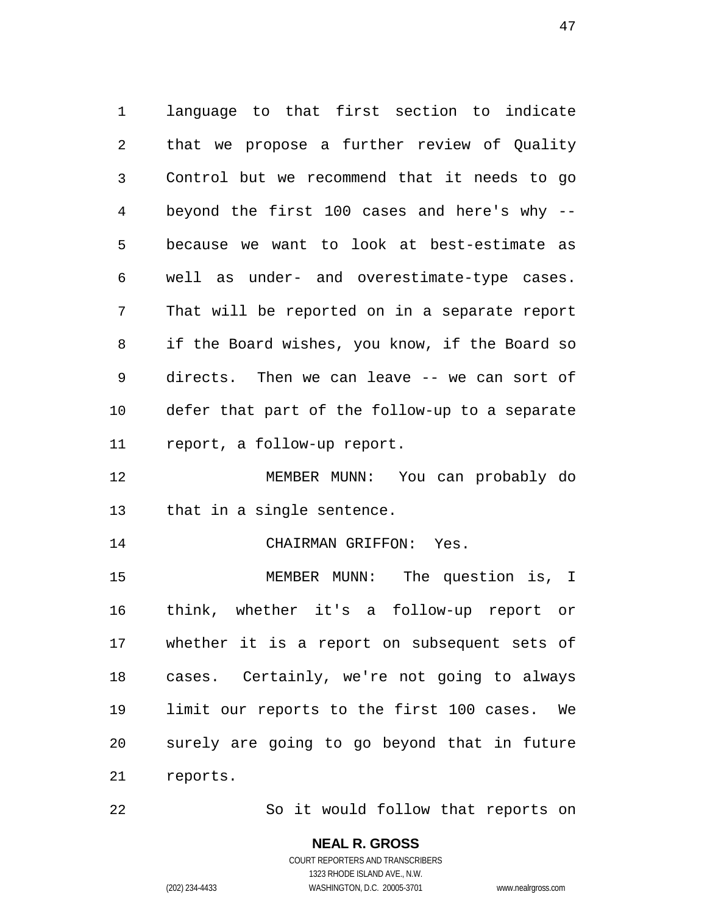1 language to that first section to indicate 2 3 4 5 6 7 8 9 10 11 that we propose a further review of Quality Control but we recommend that it needs to go beyond the first 100 cases and here's why - because we want to look at best-estimate as well as under- and overestimate-type cases. That will be reported on in a separate report if the Board wishes, you know, if the Board so directs. Then we can leave -- we can sort of defer that part of the follow-up to a separate report, a follow-up report.

12 13 MEMBER MUNN: You can probably do that in a single sentence.

14 CHAIRMAN GRIFFON: Yes.

15 16 17 18 19 20 21 MEMBER MUNN: The question is, I think, whether it's a follow-up report or whether it is a report on subsequent sets of cases. Certainly, we're not going to always limit our reports to the first 100 cases. We surely are going to go beyond that in future reports.

22 So it would follow that reports on

> **NEAL R. GROSS** COURT REPORTERS AND TRANSCRIBERS

> > 1323 RHODE ISLAND AVE., N.W.

(202) 234-4433 WASHINGTON, D.C. 20005-3701 www.nealrgross.com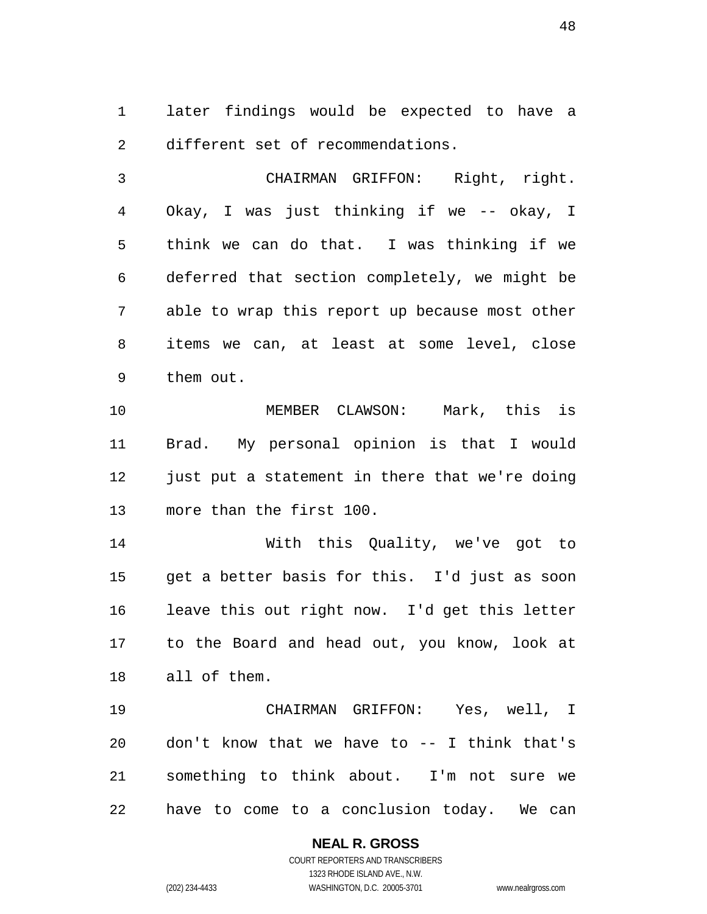1 later findings would be expected to have a 2 different set of recommendations.

3 4 5 6 7 8 9 CHAIRMAN GRIFFON: Right, right. Okay, I was just thinking if we -- okay, I think we can do that. I was thinking if we deferred that section completely, we might be able to wrap this report up because most other items we can, at least at some level, close them out.

10 11 12 13 MEMBER CLAWSON: Mark, this is Brad. My personal opinion is that I would just put a statement in there that we're doing more than the first 100.

14 15 16 17 18 With this Quality, we've got to get a better basis for this. I'd just as soon leave this out right now. I'd get this letter to the Board and head out, you know, look at all of them.

19 20 21 22 CHAIRMAN GRIFFON: Yes, well, I don't know that we have to -- I think that's something to think about. I'm not sure we have to come to a conclusion today. We can

> **NEAL R. GROSS** COURT REPORTERS AND TRANSCRIBERS 1323 RHODE ISLAND AVE., N.W. (202) 234-4433 WASHINGTON, D.C. 20005-3701 www.nealrgross.com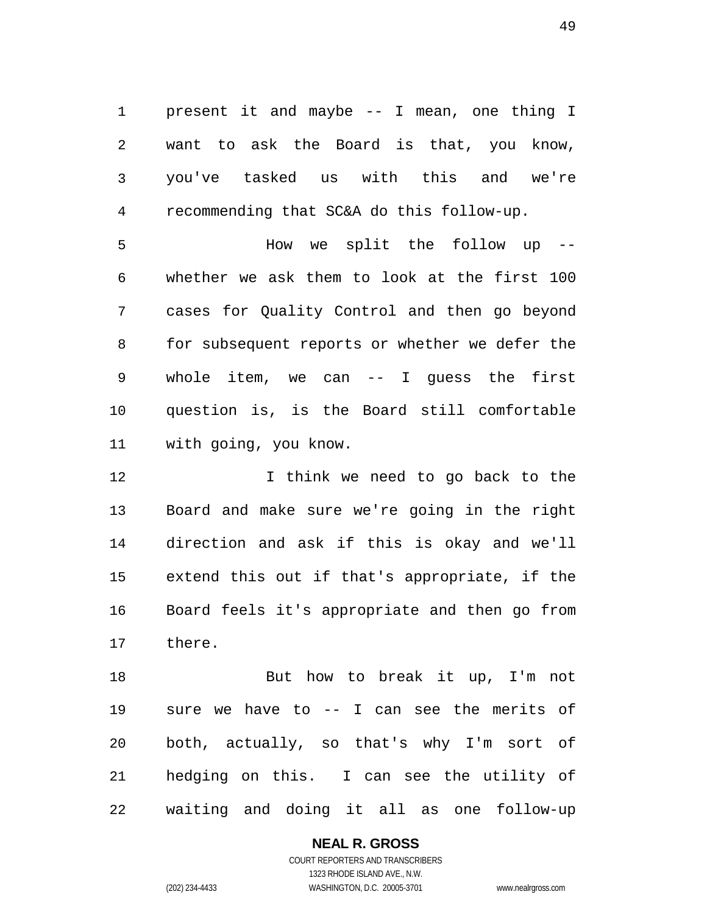1 present it and maybe -- I mean, one thing I 2 3 4 want to ask the Board is that, you know, you've tasked us with this and we're recommending that SC&A do this follow-up.

5 6 7 8 9 10 11 How we split the follow up - whether we ask them to look at the first 100 cases for Quality Control and then go beyond for subsequent reports or whether we defer the whole item, we can -- I guess the first question is, is the Board still comfortable with going, you know.

12 13 14 15 16 17 I think we need to go back to the Board and make sure we're going in the right direction and ask if this is okay and we'll extend this out if that's appropriate, if the Board feels it's appropriate and then go from there.

18 19 20 21 22 But how to break it up, I'm not sure we have to -- I can see the merits of both, actually, so that's why I'm sort of hedging on this. I can see the utility of waiting and doing it all as one follow-up

### **NEAL R. GROSS**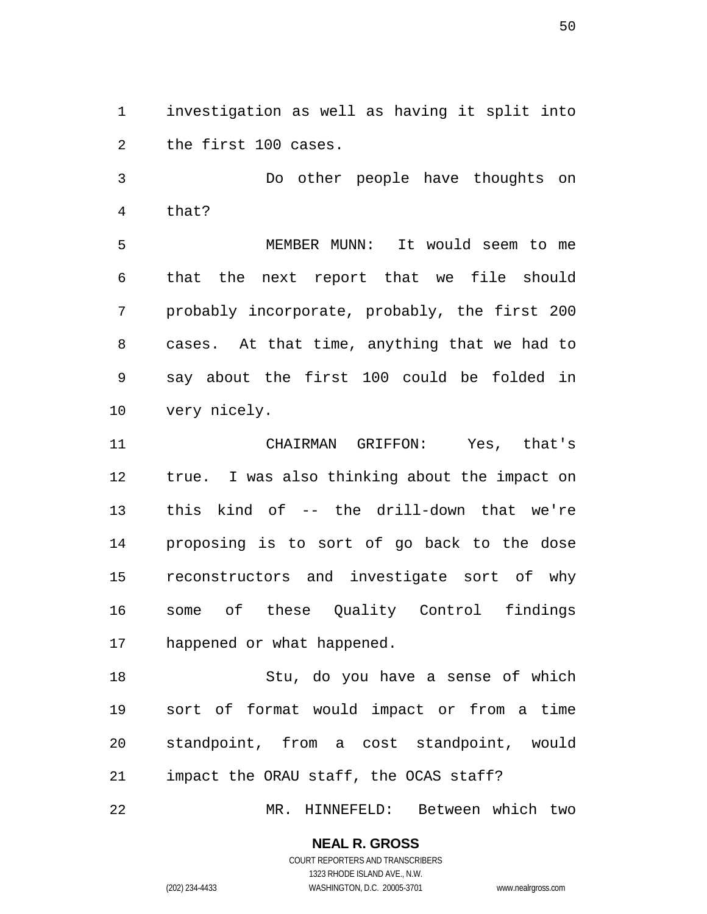1 investigation as well as having it split into 2 the first 100 cases.

3 4 Do other people have thoughts on that?

5 6 7 8 9 10 MEMBER MUNN: It would seem to me that the next report that we file should probably incorporate, probably, the first 200 cases. At that time, anything that we had to say about the first 100 could be folded in very nicely.

11 12 13 14 15 16 17 CHAIRMAN GRIFFON: Yes, that's true. I was also thinking about the impact on this kind of -- the drill-down that we're proposing is to sort of go back to the dose reconstructors and investigate sort of why some of these Quality Control findings happened or what happened.

18 19 20 21 Stu, do you have a sense of which sort of format would impact or from a time standpoint, from a cost standpoint, would impact the ORAU staff, the OCAS staff?

22 MR. HINNEFELD: Between which two

### **NEAL R. GROSS**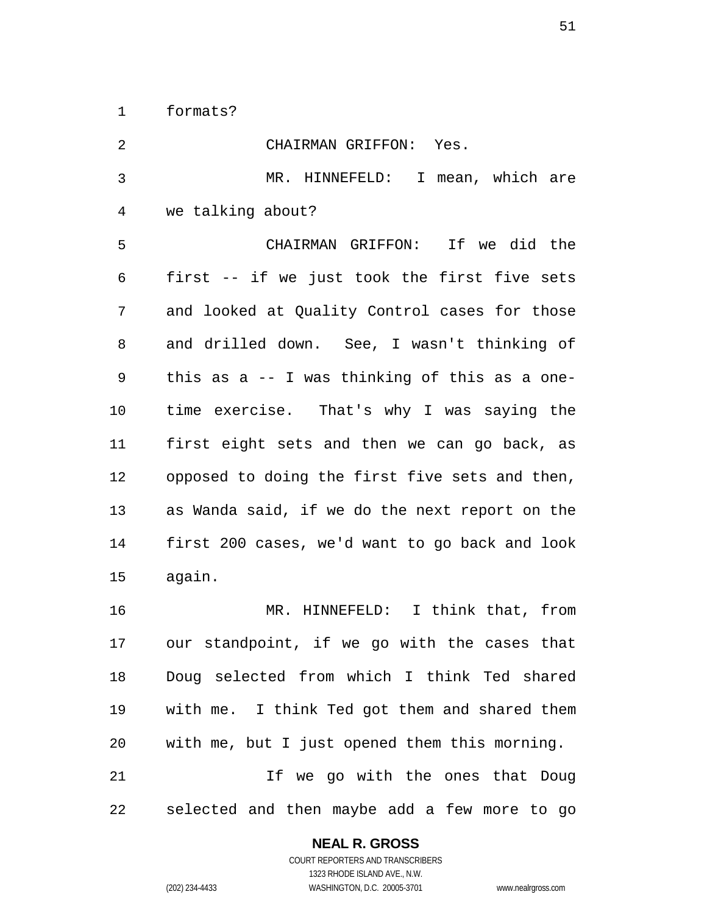1 formats?

| 2              | CHAIRMAN GRIFFON: Yes.                         |
|----------------|------------------------------------------------|
| 3              | MR. HINNEFELD: I mean, which are               |
| $\overline{4}$ | we talking about?                              |
| 5              | CHAIRMAN GRIFFON: If we did the                |
| 6              | first -- if we just took the first five sets   |
| 7              | and looked at Quality Control cases for those  |
| 8              | and drilled down. See, I wasn't thinking of    |
| 9              | this as a -- I was thinking of this as a one-  |
| 10             | time exercise. That's why I was saying the     |
| 11             | first eight sets and then we can go back, as   |
| 12             | opposed to doing the first five sets and then, |
| 13             | as Wanda said, if we do the next report on the |
| 14             | first 200 cases, we'd want to go back and look |
| 15             | again.                                         |
| 16             | MR. HINNEFELD: I think that, from              |
| 17             | our standpoint, if we go with the cases that   |
| 18             | Doug selected from which I think Ted shared    |
| 19             | with me. I think Ted got them and shared them  |
| 20             | with me, but I just opened them this morning.  |
| 21             | If we go with the ones that Doug               |
| 22             | selected and then maybe add a few more to go   |

### **NEAL R. GROSS** COURT REPORTERS AND TRANSCRIBERS

1323 RHODE ISLAND AVE., N.W. (202) 234-4433 WASHINGTON, D.C. 20005-3701 www.nealrgross.com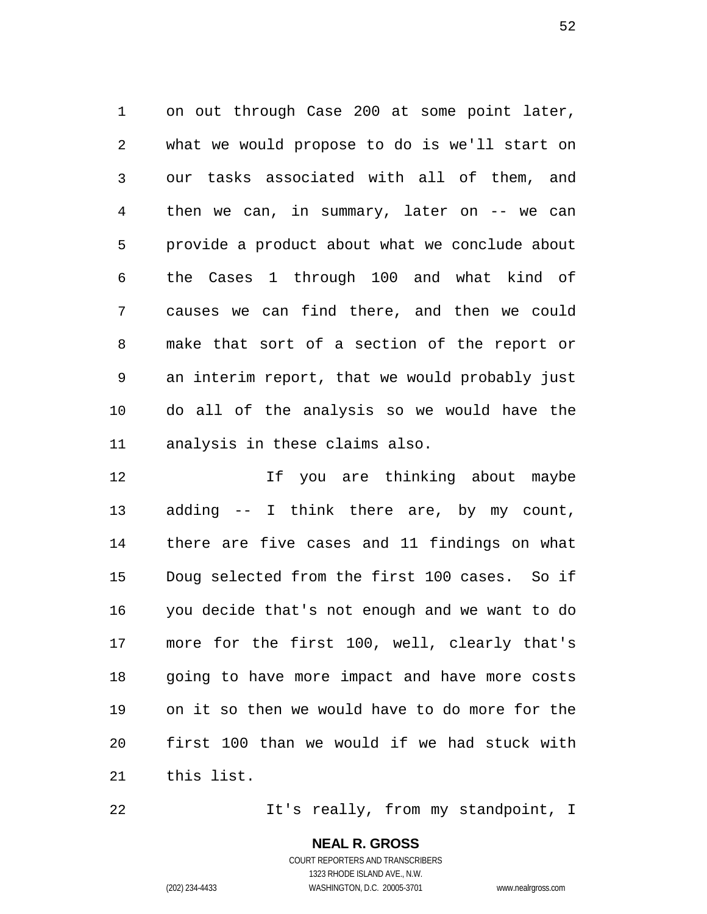1 on out through Case 200 at some point later, 2 3 4 5 6 7 8 9 10 11 what we would propose to do is we'll start on our tasks associated with all of them, and then we can, in summary, later on  $-$  we can provide a product about what we conclude about the Cases 1 through 100 and what kind of causes we can find there, and then we could make that sort of a section of the report or an interim report, that we would probably just do all of the analysis so we would have the analysis in these claims also.

12 13 14 15 16 17 18 19 20 21 If you are thinking about maybe adding -- I think there are, by my count, there are five cases and 11 findings on what Doug selected from the first 100 cases. So if you decide that's not enough and we want to do more for the first 100, well, clearly that's going to have more impact and have more costs on it so then we would have to do more for the first 100 than we would if we had stuck with this list.

It's really, from my standpoint, I

**NEAL R. GROSS** COURT REPORTERS AND TRANSCRIBERS 1323 RHODE ISLAND AVE., N.W.

22

(202) 234-4433 WASHINGTON, D.C. 20005-3701 www.nealrgross.com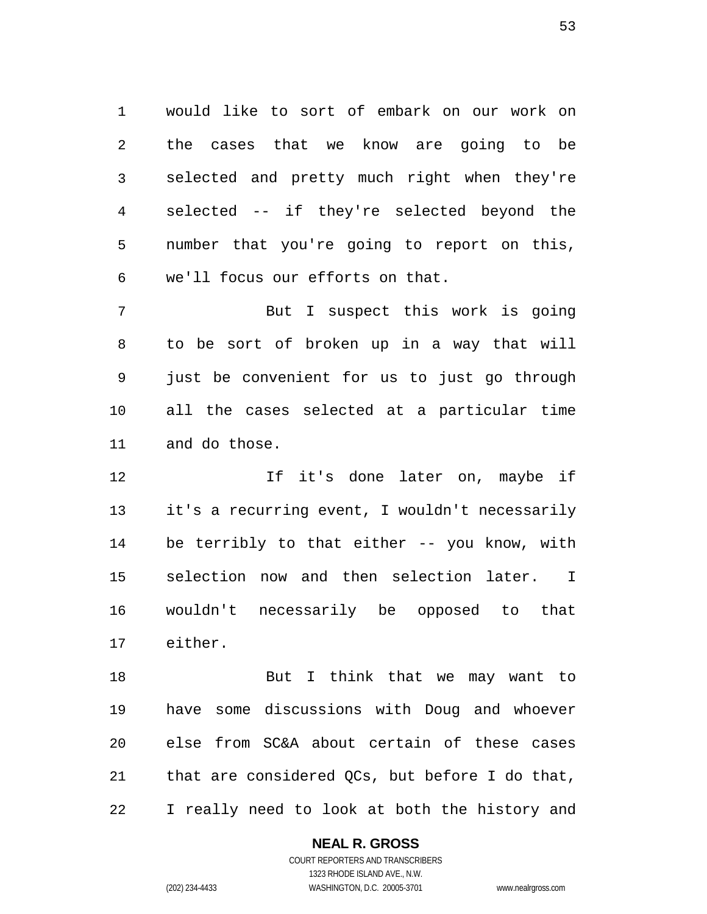1 would like to sort of embark on our work on 2 3 4 5 6 the cases that we know are going to be selected and pretty much right when they're selected -- if they're selected beyond the number that you're going to report on this, we'll focus our efforts on that.

7 8 9 10 11 But I suspect this work is going to be sort of broken up in a way that will just be convenient for us to just go through all the cases selected at a particular time and do those.

12 13 14 15 16 17 If it's done later on, maybe if it's a recurring event, I wouldn't necessarily be terribly to that either -- you know, with selection now and then selection later. I wouldn't necessarily be opposed to that either.

18 19 20 21 22 But I think that we may want to have some discussions with Doug and whoever else from SC&A about certain of these cases that are considered QCs, but before I do that, I really need to look at both the history and

#### **NEAL R. GROSS**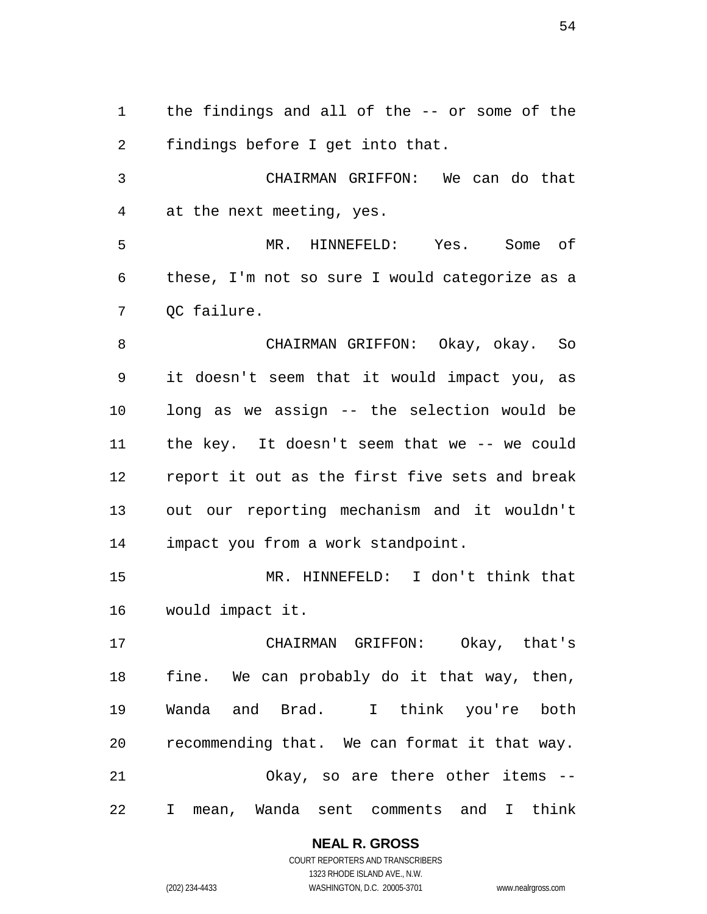1 the findings and all of the -- or some of the 2 findings before I get into that.

3 4 CHAIRMAN GRIFFON: We can do that at the next meeting, yes.

5 6 7 MR. HINNEFELD: Yes. Some of these, I'm not so sure I would categorize as a QC failure.

8 9 10 11 12 13 14 CHAIRMAN GRIFFON: Okay, okay. So it doesn't seem that it would impact you, as long as we assign -- the selection would be the key. It doesn't seem that we -- we could report it out as the first five sets and break out our reporting mechanism and it wouldn't impact you from a work standpoint.

15 16 MR. HINNEFELD: I don't think that would impact it.

17 18 19 20 21 22 CHAIRMAN GRIFFON: Okay, that's fine. We can probably do it that way, then, Wanda and Brad. I think you're both recommending that. We can format it that way. Okay, so are there other items -- I mean, Wanda sent comments and I think

> **NEAL R. GROSS** COURT REPORTERS AND TRANSCRIBERS

1323 RHODE ISLAND AVE., N.W. (202) 234-4433 WASHINGTON, D.C. 20005-3701 www.nealrgross.com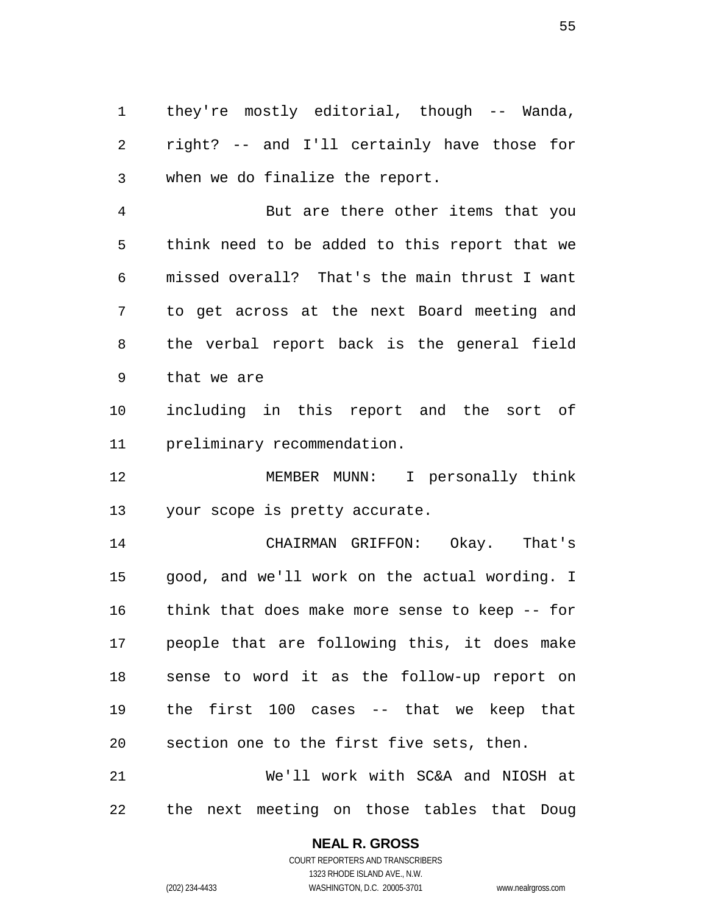1 they're mostly editorial, though -- Wanda, 2 3 right? -- and I'll certainly have those for when we do finalize the report.

4 5 6 7 8 9 But are there other items that you think need to be added to this report that we missed overall? That's the main thrust I want to get across at the next Board meeting and the verbal report back is the general field that we are

10 11 including in this report and the sort of preliminary recommendation.

12 13 MEMBER MUNN: I personally think your scope is pretty accurate.

14 15 16 17 18 19 20 CHAIRMAN GRIFFON: Okay. That's good, and we'll work on the actual wording. I think that does make more sense to keep -- for people that are following this, it does make sense to word it as the follow-up report on the first 100 cases -- that we keep that section one to the first five sets, then.

21 22 We'll work with SC&A and NIOSH at the next meeting on those tables that Doug

#### **NEAL R. GROSS**

COURT REPORTERS AND TRANSCRIBERS 1323 RHODE ISLAND AVE., N.W. (202) 234-4433 WASHINGTON, D.C. 20005-3701 www.nealrgross.com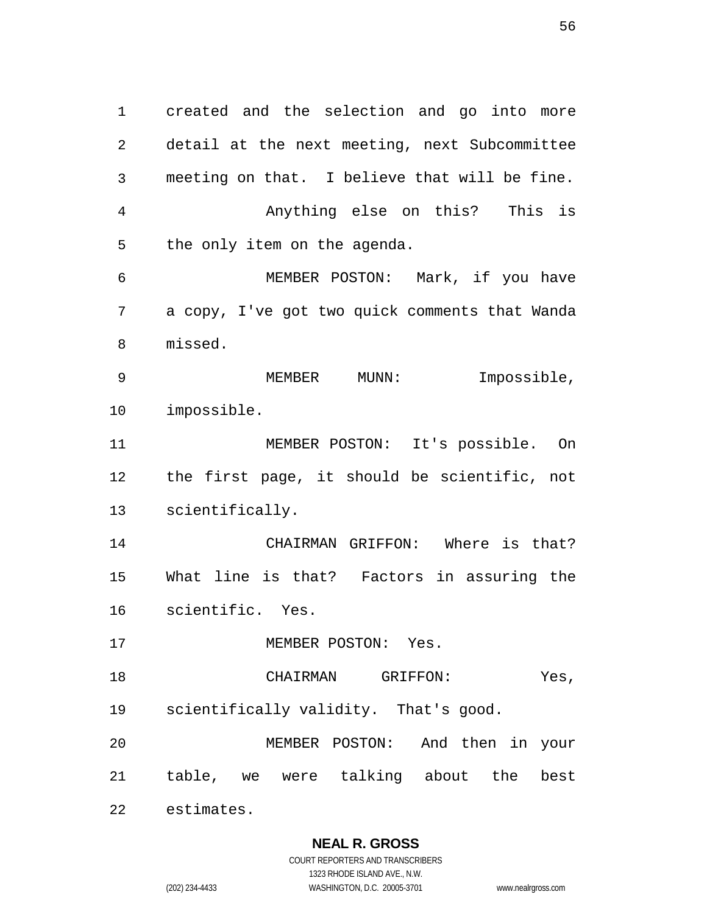1 created and the selection and go into more 2 3 4 5 6 7 8 9 10 11 12 13 14 15 16 17 18 19 20 21 22 detail at the next meeting, next Subcommittee meeting on that. I believe that will be fine. Anything else on this? This is the only item on the agenda. MEMBER POSTON: Mark, if you have a copy, I've got two quick comments that Wanda missed. MEMBER MUNN: Impossible, impossible. MEMBER POSTON: It's possible. On the first page, it should be scientific, not scientifically. CHAIRMAN GRIFFON: Where is that? What line is that? Factors in assuring the scientific. Yes. MEMBER POSTON: Yes. CHAIRMAN GRIFFON: Yes, scientifically validity. That's good. MEMBER POSTON: And then in your table, we were talking about the best estimates.

**NEAL R. GROSS**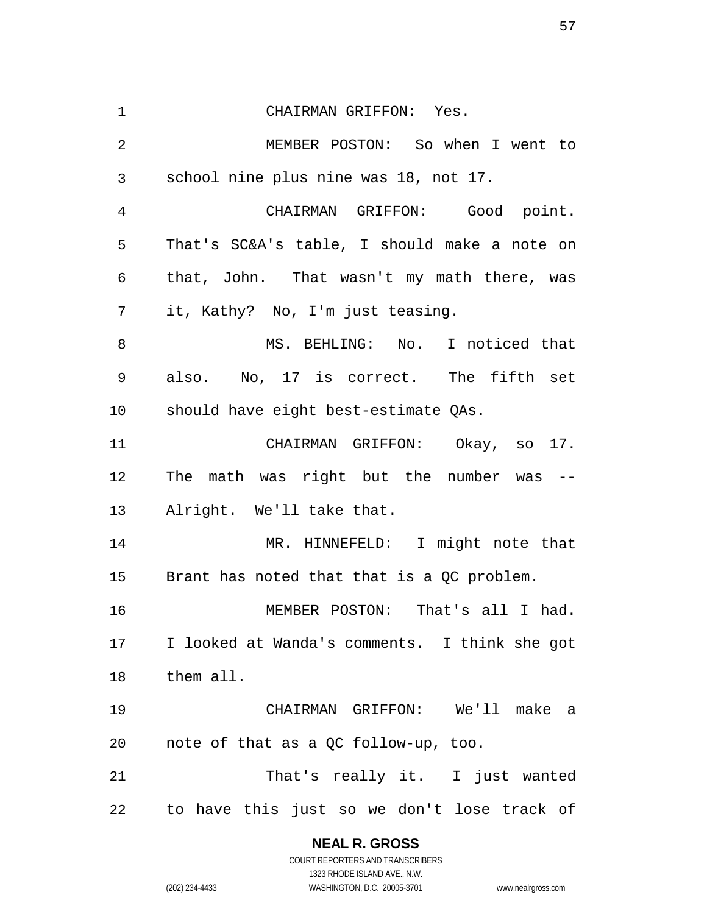| $\mathbf 1$    | CHAIRMAN GRIFFON: Yes.                        |
|----------------|-----------------------------------------------|
| 2              | MEMBER POSTON: So when I went to              |
| 3              | school nine plus nine was 18, not 17.         |
| $\overline{4}$ | CHAIRMAN GRIFFON: Good point.                 |
| 5              | That's SC&A's table, I should make a note on  |
| 6              | that, John. That wasn't my math there, was    |
| 7              | it, Kathy? No, I'm just teasing.              |
| 8              | MS. BEHLING: No. I noticed that               |
| 9              | also. No, 17 is correct. The fifth set        |
| 10             | should have eight best-estimate QAs.          |
| 11             | CHAIRMAN GRIFFON: Okay, so 17.                |
| 12             | The math was right but the number was --      |
| 13             | Alright. We'll take that.                     |
| 14             | MR. HINNEFELD: I might note that              |
| 15             | Brant has noted that that is a QC problem.    |
| 16             | MEMBER POSTON: That's all I had.              |
| 17             | I looked at Wanda's comments. I think she got |
| 18             | them all.                                     |
| 19             | CHAIRMAN GRIFFON: We'll make a                |
| 20             | note of that as a QC follow-up, too.          |
| 21             | That's really it. I just wanted               |
| 22             | to have this just so we don't lose track of   |

**NEAL R. GROSS** COURT REPORTERS AND TRANSCRIBERS

1323 RHODE ISLAND AVE., N.W. (202) 234-4433 WASHINGTON, D.C. 20005-3701 www.nealrgross.com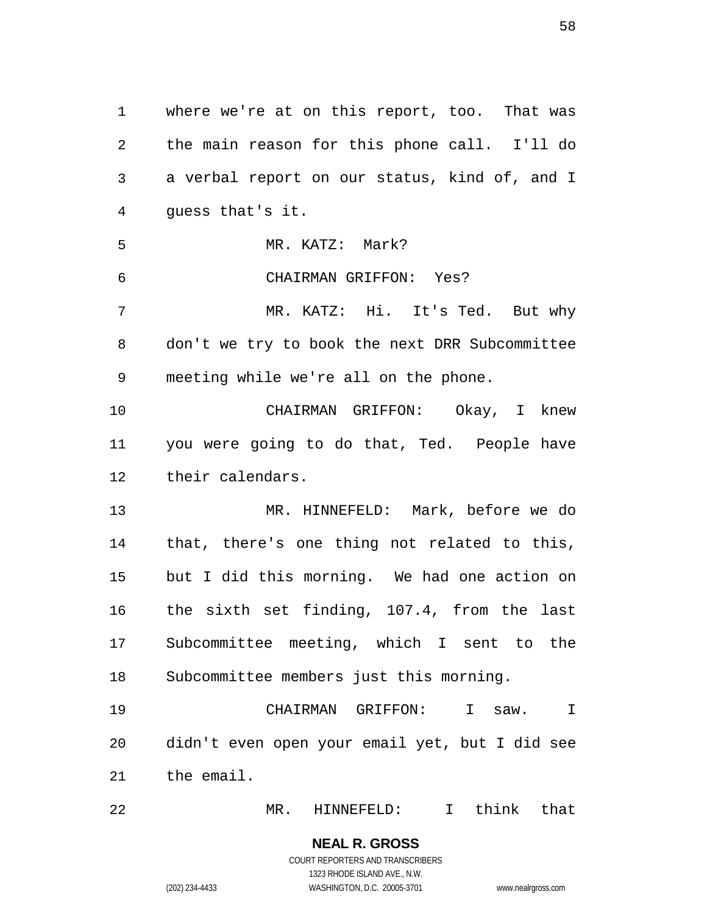1 where we're at on this report, too. That was 2 3 4 5 6 7 8 9 10 11 12 13 14 15 16 17 18 19 20 21 22 the main reason for this phone call. I'll do a verbal report on our status, kind of, and I guess that's it. MR. KATZ: Mark? CHAIRMAN GRIFFON: Yes? MR. KATZ: Hi. It's Ted. But why don't we try to book the next DRR Subcommittee meeting while we're all on the phone. CHAIRMAN GRIFFON: Okay, I knew you were going to do that, Ted. People have their calendars. MR. HINNEFELD: Mark, before we do that, there's one thing not related to this, but I did this morning. We had one action on the sixth set finding, 107.4, from the last Subcommittee meeting, which I sent to the Subcommittee members just this morning. CHAIRMAN GRIFFON: I saw. I didn't even open your email yet, but I did see the email. MR. HINNEFELD: I think that

> **NEAL R. GROSS** COURT REPORTERS AND TRANSCRIBERS 1323 RHODE ISLAND AVE., N.W. (202) 234-4433 WASHINGTON, D.C. 20005-3701 www.nealrgross.com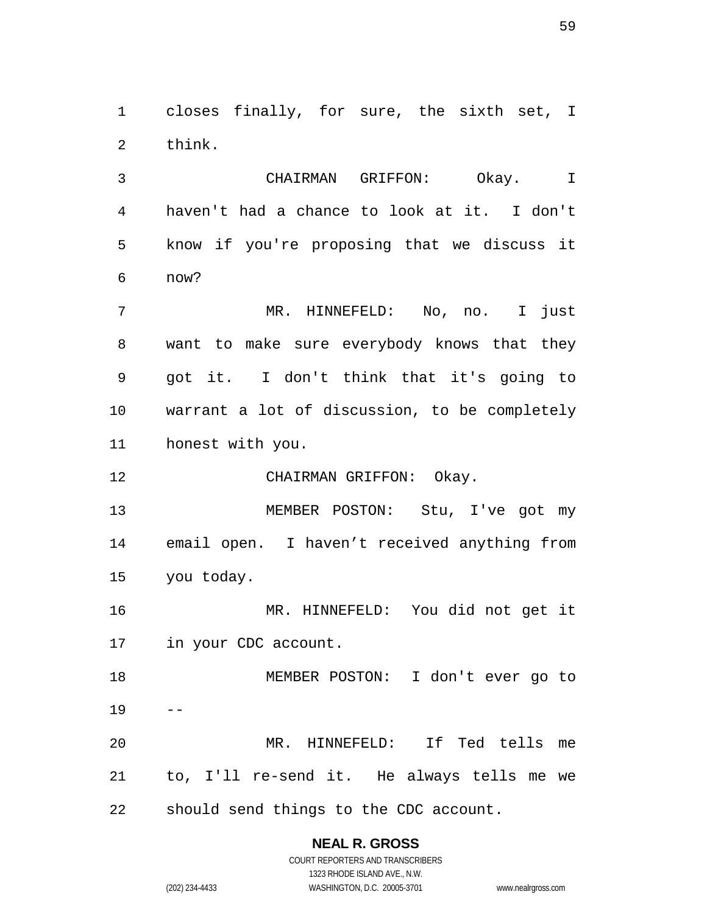1 closes finally, for sure, the sixth set, I 2 think.

3 4 5 6 CHAIRMAN GRIFFON: Okay. I haven't had a chance to look at it. I don't know if you're proposing that we discuss it now?

7 8 9 10 11 MR. HINNEFELD: No, no. I just want to make sure everybody knows that they got it. I don't think that it's going to warrant a lot of discussion, to be completely honest with you.

12 CHAIRMAN GRIFFON: Okay.

13 14 15 MEMBER POSTON: Stu, I've got my email open. I haven't received anything from you today.

16 17 MR. HINNEFELD: You did not get it in your CDC account.

18 19 20 MEMBER POSTON: I don't ever go to -- MR. HINNEFELD: If Ted tells me

21 22 to, I'll re-send it. He always tells me we should send things to the CDC account.

## **NEAL R. GROSS**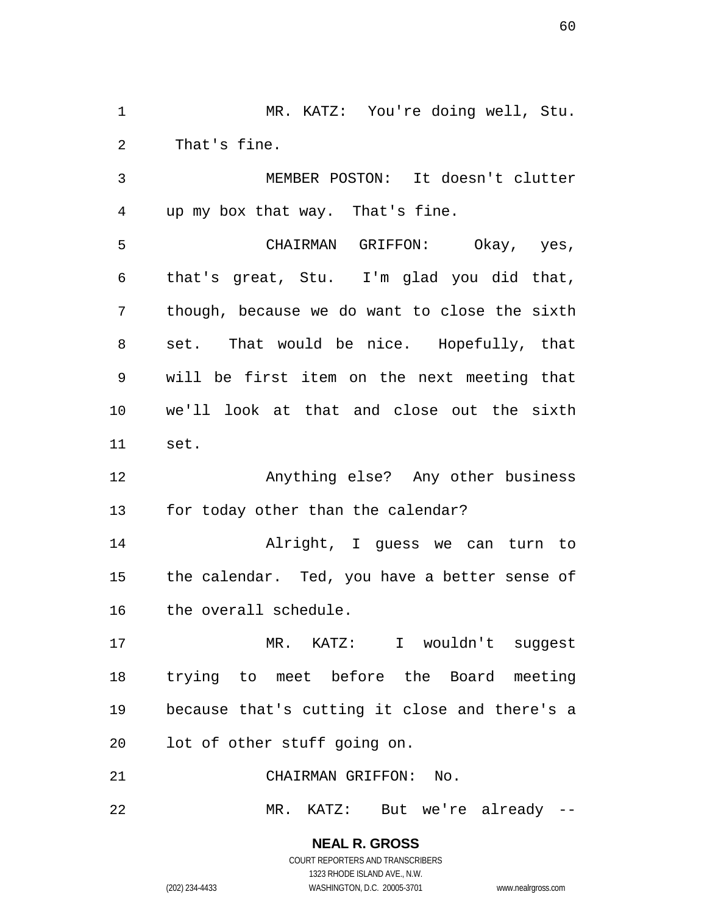1 MR. KATZ: You're doing well, Stu. 2 That's fine.

3 4 MEMBER POSTON: It doesn't clutter up my box that way. That's fine.

5 6 7 8 9 10 11 CHAIRMAN GRIFFON: Okay, yes, that's great, Stu. I'm glad you did that, though, because we do want to close the sixth set. That would be nice. Hopefully, that will be first item on the next meeting that we'll look at that and close out the sixth set.

12 13 Anything else? Any other business for today other than the calendar?

14 15 16 Alright, I guess we can turn to the calendar. Ted, you have a better sense of the overall schedule.

17 18 19 20 MR. KATZ: I wouldn't suggest trying to meet before the Board meeting because that's cutting it close and there's a lot of other stuff going on.

21 CHAIRMAN GRIFFON: No.

22 MR. KATZ: But we're already --

> **NEAL R. GROSS** COURT REPORTERS AND TRANSCRIBERS

1323 RHODE ISLAND AVE., N.W. (202) 234-4433 WASHINGTON, D.C. 20005-3701 www.nealrgross.com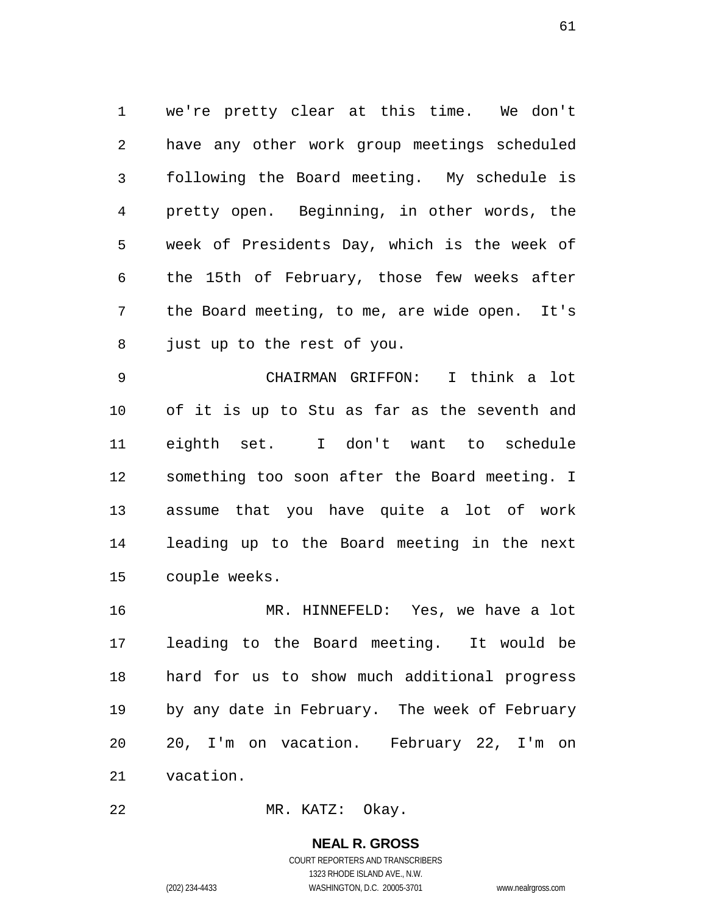1 we're pretty clear at this time. We don't 2 3 4 5 6 7 8 have any other work group meetings scheduled following the Board meeting. My schedule is pretty open. Beginning, in other words, the week of Presidents Day, which is the week of the 15th of February, those few weeks after the Board meeting, to me, are wide open. It's just up to the rest of you.

9 10 11 12 13 14 15 CHAIRMAN GRIFFON: I think a lot of it is up to Stu as far as the seventh and eighth set. I don't want to schedule something too soon after the Board meeting. I assume that you have quite a lot of work leading up to the Board meeting in the next couple weeks.

16 17 18 19 20 21 MR. HINNEFELD: Yes, we have a lot leading to the Board meeting. It would be hard for us to show much additional progress by any date in February. The week of February 20, I'm on vacation. February 22, I'm on vacation.

22 MR. KATZ: Okay.

#### **NEAL R. GROSS**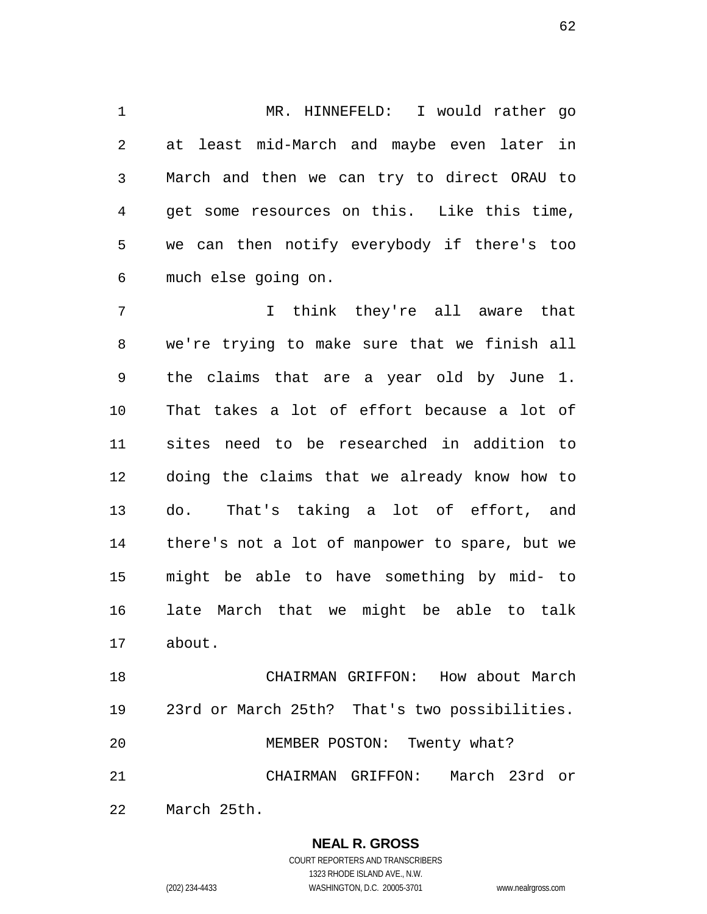1 MR. HINNEFELD: I would rather go 2 3 4 5 6 at least mid-March and maybe even later in March and then we can try to direct ORAU to get some resources on this. Like this time, we can then notify everybody if there's too much else going on.

7 8 9 10 11 12 13 14 15 16 17 I think they're all aware that we're trying to make sure that we finish all the claims that are a year old by June 1. That takes a lot of effort because a lot of sites need to be researched in addition to doing the claims that we already know how to do. That's taking a lot of effort, and there's not a lot of manpower to spare, but we might be able to have something by mid- to late March that we might be able to talk about.

18 19 20 21 22 CHAIRMAN GRIFFON: How about March 23rd or March 25th? That's two possibilities. MEMBER POSTON: Twenty what? CHAIRMAN GRIFFON: March 23rd or March 25th.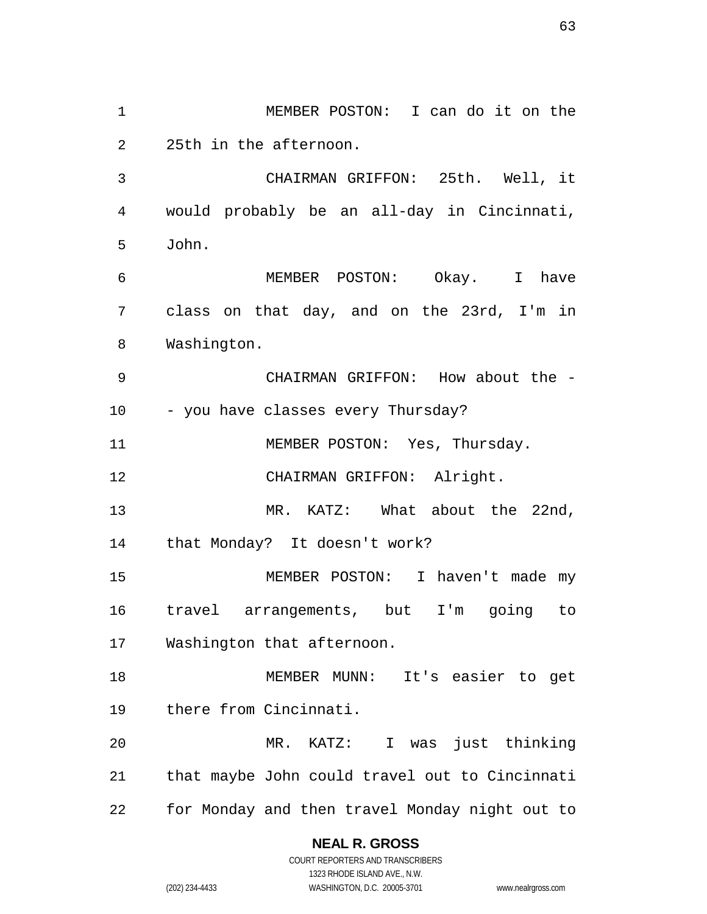1 MEMBER POSTON: I can do it on the 2 3 4 5 6 7 8 9 10 11 12 13 14 15 16 17 18 19 20 21 22 25th in the afternoon. CHAIRMAN GRIFFON: 25th. Well, it would probably be an all-day in Cincinnati, John. MEMBER POSTON: Okay. I have class on that day, and on the 23rd, I'm in Washington. CHAIRMAN GRIFFON: How about the - - you have classes every Thursday? MEMBER POSTON: Yes, Thursday. CHAIRMAN GRIFFON: Alright. MR. KATZ: What about the 22nd, that Monday? It doesn't work? MEMBER POSTON: I haven't made my travel arrangements, but I'm going to Washington that afternoon. MEMBER MUNN: It's easier to get there from Cincinnati. MR. KATZ: I was just thinking that maybe John could travel out to Cincinnati for Monday and then travel Monday night out to

#### **NEAL R. GROSS**

COURT REPORTERS AND TRANSCRIBERS 1323 RHODE ISLAND AVE., N.W. (202) 234-4433 WASHINGTON, D.C. 20005-3701 www.nealrgross.com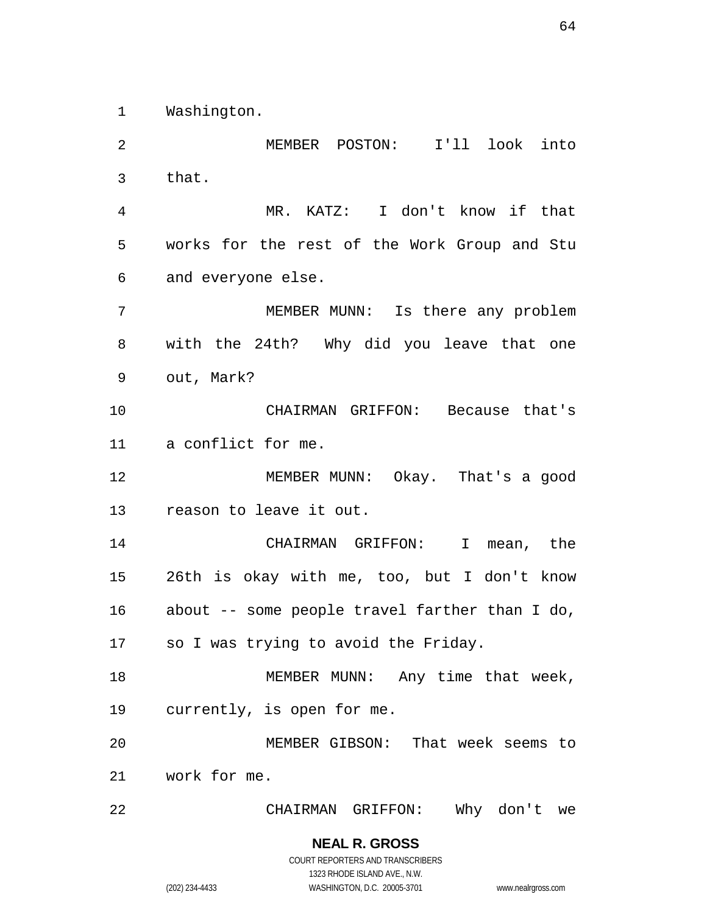1 Washington.

2 3 4 5 6 7 8 9 10 11 12 13 14 15 16 17 18 19 20 21 22 MEMBER POSTON: I'll look into that. MR. KATZ: I don't know if that works for the rest of the Work Group and Stu and everyone else. MEMBER MUNN: Is there any problem with the 24th? Why did you leave that one out, Mark? CHAIRMAN GRIFFON: Because that's a conflict for me. MEMBER MUNN: Okay. That's a good reason to leave it out. CHAIRMAN GRIFFON: I mean, the 26th is okay with me, too, but I don't know about -- some people travel farther than I do, so I was trying to avoid the Friday. MEMBER MUNN: Any time that week, currently, is open for me. MEMBER GIBSON: That week seems to work for me. CHAIRMAN GRIFFON: Why don't we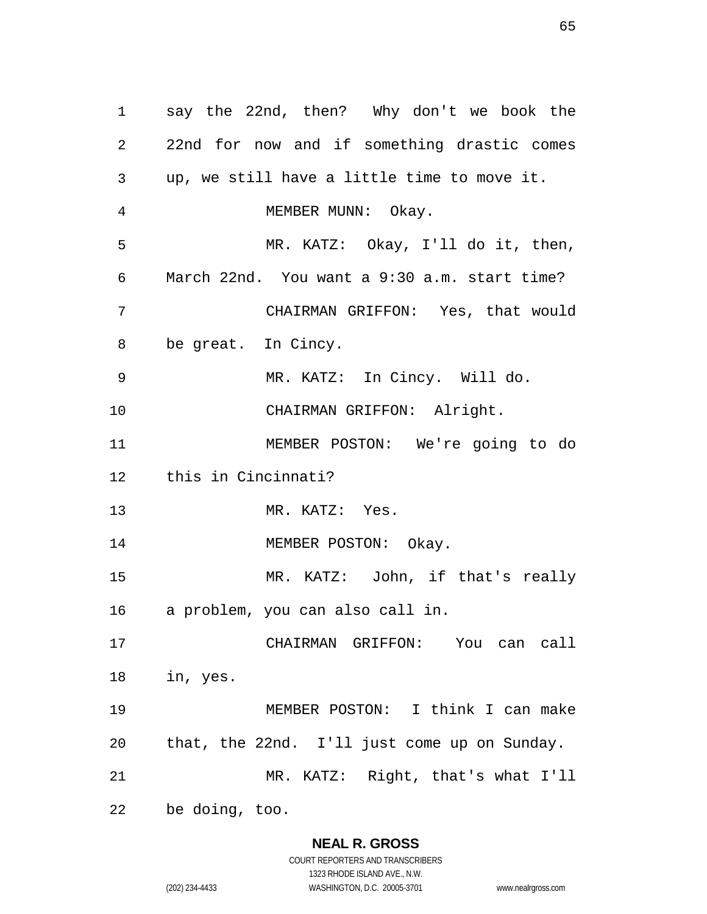1 say the 22nd, then? Why don't we book the 2 3 4 5 6 7 8 9 10 11 12 13 14 15 16 17 18 19 20 21 22 22nd for now and if something drastic comes up, we still have a little time to move it. MEMBER MUNN: Okay. MR. KATZ: Okay, I'll do it, then, March 22nd. You want a 9:30 a.m. start time? CHAIRMAN GRIFFON: Yes, that would be great. In Cincy. MR. KATZ: In Cincy. Will do. CHAIRMAN GRIFFON: Alright. MEMBER POSTON: We're going to do this in Cincinnati? MR. KATZ: Yes. MEMBER POSTON: Okay. MR. KATZ: John, if that's really a problem, you can also call in. CHAIRMAN GRIFFON: You can call in, yes. MEMBER POSTON: I think I can make that, the 22nd. I'll just come up on Sunday. MR. KATZ: Right, that's what I'll be doing, too.

#### **NEAL R. GROSS**